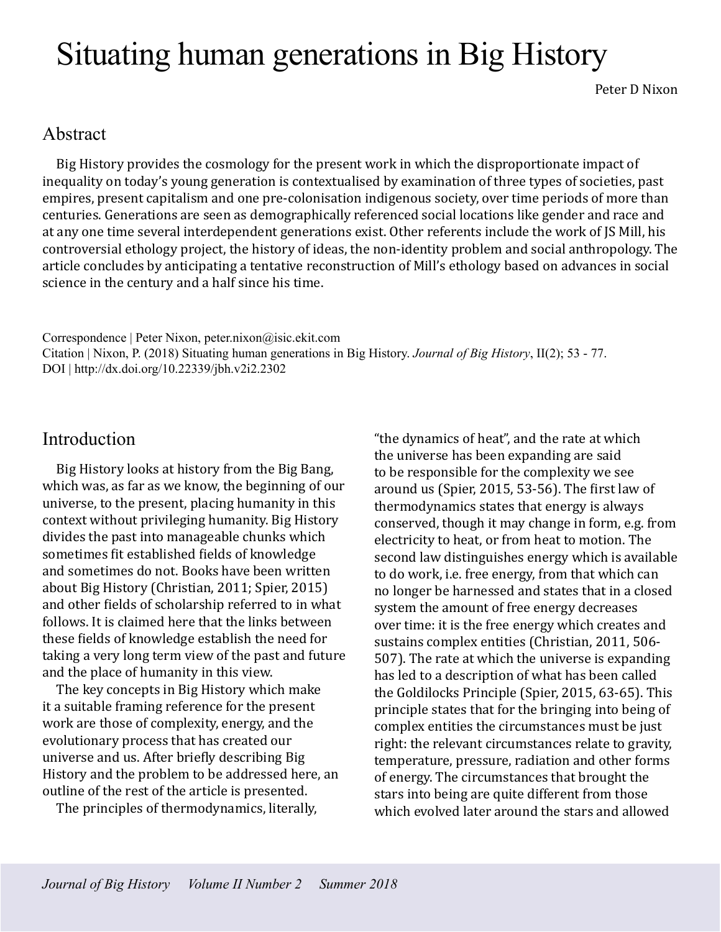# Situating human generations in Big History

Peter D Nixon

## Abstract

Big History provides the cosmology for the present work in which the disproportionate impact of inequality on today's young generation is contextualised by examination of three types of societies, past empires, present capitalism and one pre-colonisation indigenous society, over time periods of more than centuries. Generations are seen as demographically referenced social locations like gender and race and at any one time several interdependent generations exist. Other referents include the work of JS Mill, his controversial ethology project, the history of ideas, the non-identity problem and social anthropology. The article concludes by anticipating a tentative reconstruction of Mill's ethology based on advances in social science in the century and a half since his time.

Correspondence | Peter Nixon, peter.nixon@isic.ekit.com Citation | Nixon, P. (2018) Situating human generations in Big History. *Journal of Big History*, II(2); 53 - 77. DOI | http://dx.doi.org/10.22339/jbh.v2i2.2302

## Introduction

Big History looks at history from the Big Bang, which was, as far as we know, the beginning of our universe, to the present, placing humanity in this context without privileging humanity. Big History divides the past into manageable chunks which sometimes fit established fields of knowledge and sometimes do not. Books have been written about Big History (Christian, 2011; Spier, 2015) and other fields of scholarship referred to in what follows. It is claimed here that the links between these fields of knowledge establish the need for taking a very long term view of the past and future and the place of humanity in this view.

The key concepts in Big History which make it a suitable framing reference for the present work are those of complexity, energy, and the evolutionary process that has created our universe and us. After briefly describing Big History and the problem to be addressed here, an outline of the rest of the article is presented.

The principles of thermodynamics, literally,

"the dynamics of heat", and the rate at which the universe has been expanding are said to be responsible for the complexity we see around us (Spier, 2015, 53-56). The first law of thermodynamics states that energy is always conserved, though it may change in form, e.g. from electricity to heat, or from heat to motion. The second law distinguishes energy which is available to do work, i.e. free energy, from that which can no longer be harnessed and states that in a closed system the amount of free energy decreases over time: it is the free energy which creates and sustains complex entities (Christian, 2011, 506- 507). The rate at which the universe is expanding has led to a description of what has been called the Goldilocks Principle (Spier, 2015, 63-65). This principle states that for the bringing into being of complex entities the circumstances must be just right: the relevant circumstances relate to gravity, temperature, pressure, radiation and other forms of energy. The circumstances that brought the stars into being are quite different from those which evolved later around the stars and allowed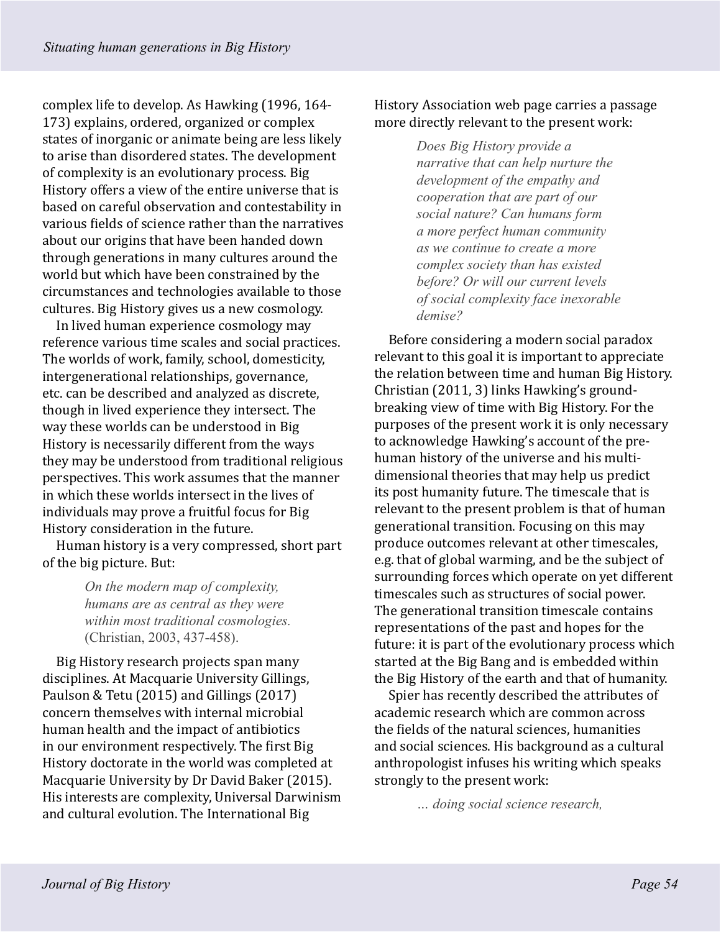complex life to develop. As Hawking (1996, 164- 173) explains, ordered, organized or complex states of inorganic or animate being are less likely to arise than disordered states. The development of complexity is an evolutionary process. Big History offers a view of the entire universe that is based on careful observation and contestability in various fields of science rather than the narratives about our origins that have been handed down through generations in many cultures around the world but which have been constrained by the circumstances and technologies available to those cultures. Big History gives us a new cosmology.

In lived human experience cosmology may reference various time scales and social practices. The worlds of work, family, school, domesticity, intergenerational relationships, governance, etc. can be described and analyzed as discrete, though in lived experience they intersect. The way these worlds can be understood in Big History is necessarily different from the ways they may be understood from traditional religious perspectives. This work assumes that the manner in which these worlds intersect in the lives of individuals may prove a fruitful focus for Big History consideration in the future.

Human history is a very compressed, short part of the big picture. But:

> *On the modern map of complexity, humans are as central as they were within most traditional cosmologies.*  (Christian, 2003, 437-458).

Big History research projects span many disciplines. At Macquarie University Gillings, Paulson & Tetu (2015) and Gillings (2017) concern themselves with internal microbial human health and the impact of antibiotics in our environment respectively. The first Big History doctorate in the world was completed at Macquarie University by Dr David Baker (2015). His interests are complexity, Universal Darwinism and cultural evolution. The International Big

History Association web page carries a passage more directly relevant to the present work:

> *Does Big History provide a narrative that can help nurture the development of the empathy and cooperation that are part of our social nature? Can humans form a more perfect human community as we continue to create a more complex society than has existed before? Or will our current levels of social complexity face inexorable demise?*

Before considering a modern social paradox relevant to this goal it is important to appreciate the relation between time and human Big History. Christian (2011, 3) links Hawking's groundbreaking view of time with Big History. For the purposes of the present work it is only necessary to acknowledge Hawking's account of the prehuman history of the universe and his multidimensional theories that may help us predict its post humanity future. The timescale that is relevant to the present problem is that of human generational transition. Focusing on this may produce outcomes relevant at other timescales, e.g. that of global warming, and be the subject of surrounding forces which operate on yet different timescales such as structures of social power. The generational transition timescale contains representations of the past and hopes for the future: it is part of the evolutionary process which started at the Big Bang and is embedded within the Big History of the earth and that of humanity.

Spier has recently described the attributes of academic research which are common across the fields of the natural sciences, humanities and social sciences. His background as a cultural anthropologist infuses his writing which speaks strongly to the present work:

*… doing social science research,*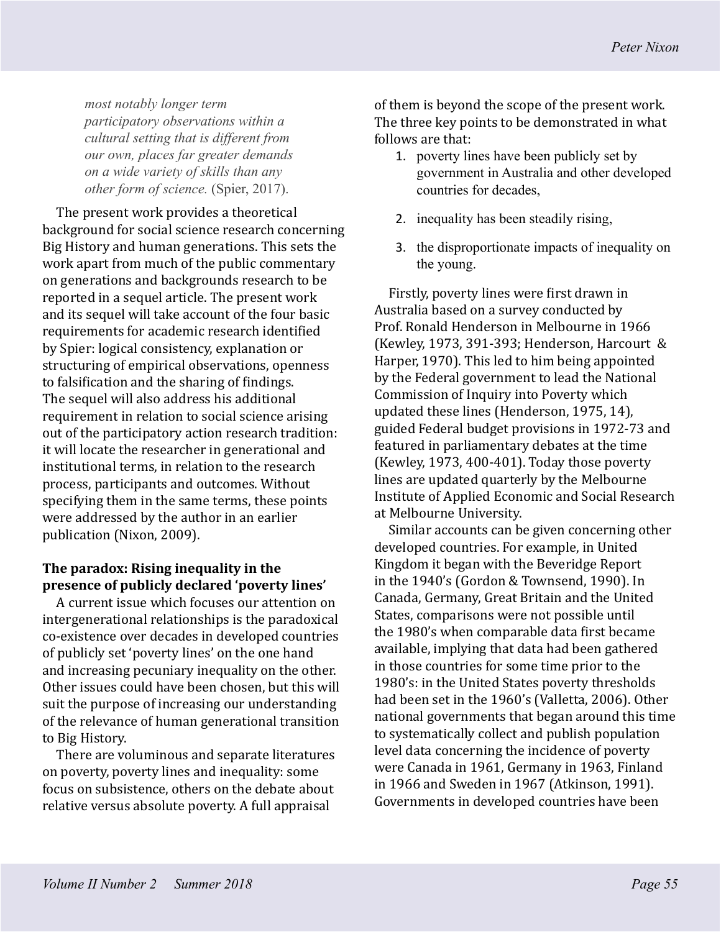*most notably longer term participatory observations within a cultural setting that is different from our own, places far greater demands on a wide variety of skills than any other form of science.* (Spier, 2017).

The present work provides a theoretical background for social science research concerning Big History and human generations. This sets the work apart from much of the public commentary on generations and backgrounds research to be reported in a sequel article. The present work and its sequel will take account of the four basic requirements for academic research identified by Spier: logical consistency, explanation or structuring of empirical observations, openness to falsification and the sharing of findings. The sequel will also address his additional requirement in relation to social science arising out of the participatory action research tradition: it will locate the researcher in generational and institutional terms, in relation to the research process, participants and outcomes. Without specifying them in the same terms, these points were addressed by the author in an earlier publication (Nixon, 2009).

#### **The paradox: Rising inequality in the presence of publicly declared 'poverty lines'**

A current issue which focuses our attention on intergenerational relationships is the paradoxical co-existence over decades in developed countries of publicly set 'poverty lines' on the one hand and increasing pecuniary inequality on the other. Other issues could have been chosen, but this will suit the purpose of increasing our understanding of the relevance of human generational transition to Big History.

There are voluminous and separate literatures on poverty, poverty lines and inequality: some focus on subsistence, others on the debate about relative versus absolute poverty. A full appraisal

of them is beyond the scope of the present work. The three key points to be demonstrated in what follows are that:

- 1. poverty lines have been publicly set by government in Australia and other developed countries for decades,
- 2. inequality has been steadily rising,
- 3. the disproportionate impacts of inequality on the young.

Firstly, poverty lines were first drawn in Australia based on a survey conducted by Prof. Ronald Henderson in Melbourne in 1966 (Kewley, 1973, 391-393; Henderson, Harcourt & Harper, 1970). This led to him being appointed by the Federal government to lead the National Commission of Inquiry into Poverty which updated these lines (Henderson, 1975, 14), guided Federal budget provisions in 1972-73 and featured in parliamentary debates at the time (Kewley, 1973, 400-401). Today those poverty lines are updated quarterly by the Melbourne Institute of Applied Economic and Social Research at Melbourne University.

Similar accounts can be given concerning other developed countries. For example, in United Kingdom it began with the Beveridge Report in the 1940's (Gordon & Townsend, 1990). In Canada, Germany, Great Britain and the United States, comparisons were not possible until the 1980's when comparable data first became available, implying that data had been gathered in those countries for some time prior to the 1980's: in the United States poverty thresholds had been set in the 1960's (Valletta, 2006). Other national governments that began around this time to systematically collect and publish population level data concerning the incidence of poverty were Canada in 1961, Germany in 1963, Finland in 1966 and Sweden in 1967 (Atkinson, 1991). Governments in developed countries have been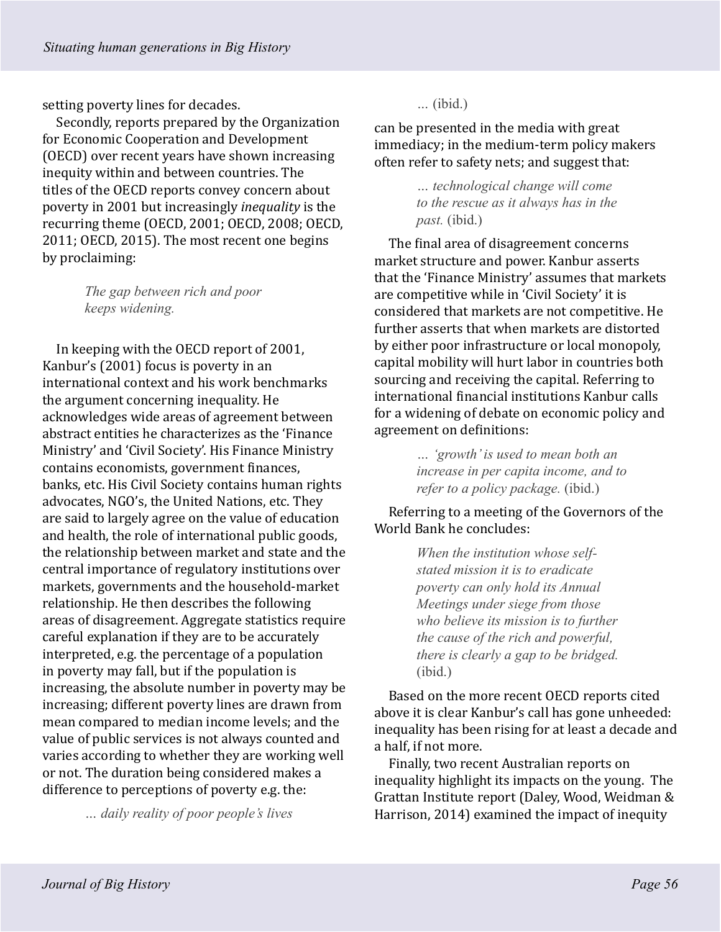setting poverty lines for decades.

Secondly, reports prepared by the Organization for Economic Cooperation and Development (OECD) over recent years have shown increasing inequity within and between countries. The titles of the OECD reports convey concern about poverty in 2001 but increasingly *inequality* is the recurring theme (OECD, 2001; OECD, 2008; OECD, 2011; OECD, 2015). The most recent one begins by proclaiming:

> *The gap between rich and poor keeps widening.*

In keeping with the OECD report of 2001, Kanbur's (2001) focus is poverty in an international context and his work benchmarks the argument concerning inequality. He acknowledges wide areas of agreement between abstract entities he characterizes as the 'Finance Ministry' and 'Civil Society'. His Finance Ministry contains economists, government finances, banks, etc. His Civil Society contains human rights advocates, NGO's, the United Nations, etc. They are said to largely agree on the value of education and health, the role of international public goods, the relationship between market and state and the central importance of regulatory institutions over markets, governments and the household-market relationship. He then describes the following areas of disagreement. Aggregate statistics require careful explanation if they are to be accurately interpreted, e.g. the percentage of a population in poverty may fall, but if the population is increasing, the absolute number in poverty may be increasing; different poverty lines are drawn from mean compared to median income levels; and the value of public services is not always counted and varies according to whether they are working well or not. The duration being considered makes a difference to perceptions of poverty e.g. the:

*… daily reality of poor people's lives* 

*…* (ibid.)

can be presented in the media with great immediacy; in the medium-term policy makers often refer to safety nets; and suggest that:

> *… technological change will come to the rescue as it always has in the past.* (ibid.)

The final area of disagreement concerns market structure and power. Kanbur asserts that the 'Finance Ministry' assumes that markets are competitive while in 'Civil Society' it is considered that markets are not competitive. He further asserts that when markets are distorted by either poor infrastructure or local monopoly, capital mobility will hurt labor in countries both sourcing and receiving the capital. Referring to international financial institutions Kanbur calls for a widening of debate on economic policy and agreement on definitions:

> *… 'growth' is used to mean both an increase in per capita income, and to refer to a policy package.* (ibid.)

Referring to a meeting of the Governors of the World Bank he concludes:

> *When the institution whose selfstated mission it is to eradicate poverty can only hold its Annual Meetings under siege from those who believe its mission is to further the cause of the rich and powerful, there is clearly a gap to be bridged.*  (ibid.)

Based on the more recent OECD reports cited above it is clear Kanbur's call has gone unheeded: inequality has been rising for at least a decade and a half, if not more.

Finally, two recent Australian reports on inequality highlight its impacts on the young. The Grattan Institute report (Daley, Wood, Weidman & Harrison, 2014) examined the impact of inequity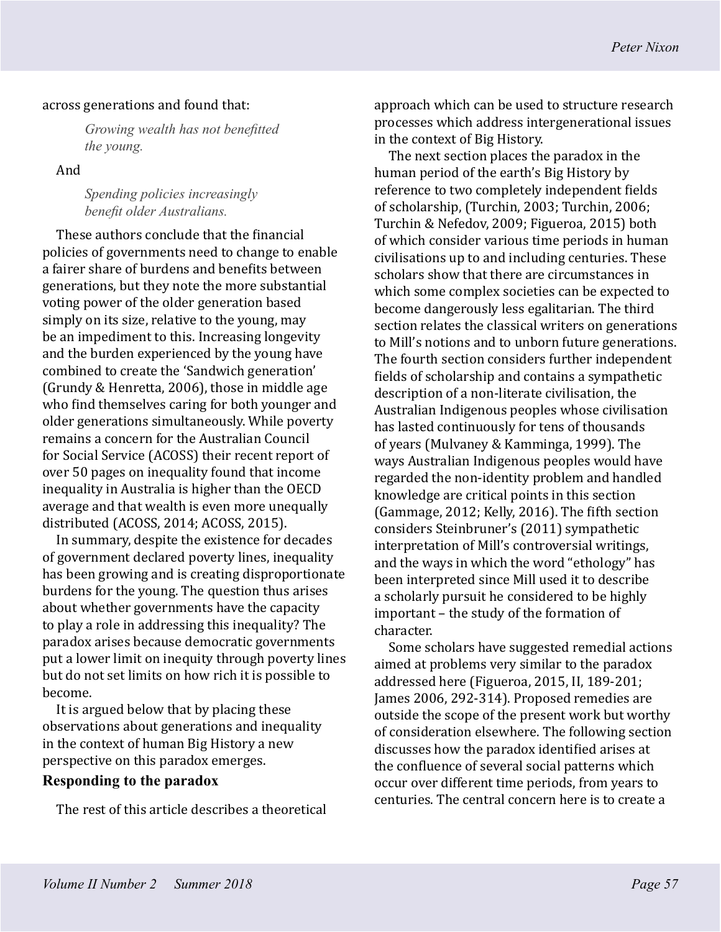#### across generations and found that:

*Growing wealth has not benefitted the young.*

And

*Spending policies increasingly benefit older Australians.*

These authors conclude that the financial policies of governments need to change to enable a fairer share of burdens and benefits between generations, but they note the more substantial voting power of the older generation based simply on its size, relative to the young, may be an impediment to this. Increasing longevity and the burden experienced by the young have combined to create the 'Sandwich generation' (Grundy & Henretta, 2006), those in middle age who find themselves caring for both younger and older generations simultaneously. While poverty remains a concern for the Australian Council for Social Service (ACOSS) their recent report of over 50 pages on inequality found that income inequality in Australia is higher than the OECD average and that wealth is even more unequally distributed (ACOSS, 2014; ACOSS, 2015).

In summary, despite the existence for decades of government declared poverty lines, inequality has been growing and is creating disproportionate burdens for the young. The question thus arises about whether governments have the capacity to play a role in addressing this inequality? The paradox arises because democratic governments put a lower limit on inequity through poverty lines but do not set limits on how rich it is possible to become.

It is argued below that by placing these observations about generations and inequality in the context of human Big History a new perspective on this paradox emerges.

#### **Responding to the paradox**

The rest of this article describes a theoretical

approach which can be used to structure research processes which address intergenerational issues in the context of Big History.

The next section places the paradox in the human period of the earth's Big History by reference to two completely independent fields of scholarship, (Turchin, 2003; Turchin, 2006; Turchin & Nefedov, 2009; Figueroa, 2015) both of which consider various time periods in human civilisations up to and including centuries. These scholars show that there are circumstances in which some complex societies can be expected to become dangerously less egalitarian. The third section relates the classical writers on generations to Mill's notions and to unborn future generations. The fourth section considers further independent fields of scholarship and contains a sympathetic description of a non-literate civilisation, the Australian Indigenous peoples whose civilisation has lasted continuously for tens of thousands of years (Mulvaney & Kamminga, 1999). The ways Australian Indigenous peoples would have regarded the non-identity problem and handled knowledge are critical points in this section (Gammage, 2012; Kelly, 2016). The fifth section considers Steinbruner's (2011) sympathetic interpretation of Mill's controversial writings, and the ways in which the word "ethology" has been interpreted since Mill used it to describe a scholarly pursuit he considered to be highly important – the study of the formation of character.

Some scholars have suggested remedial actions aimed at problems very similar to the paradox addressed here (Figueroa, 2015, II, 189-201; James 2006, 292-314). Proposed remedies are outside the scope of the present work but worthy of consideration elsewhere. The following section discusses how the paradox identified arises at the confluence of several social patterns which occur over different time periods, from years to centuries. The central concern here is to create a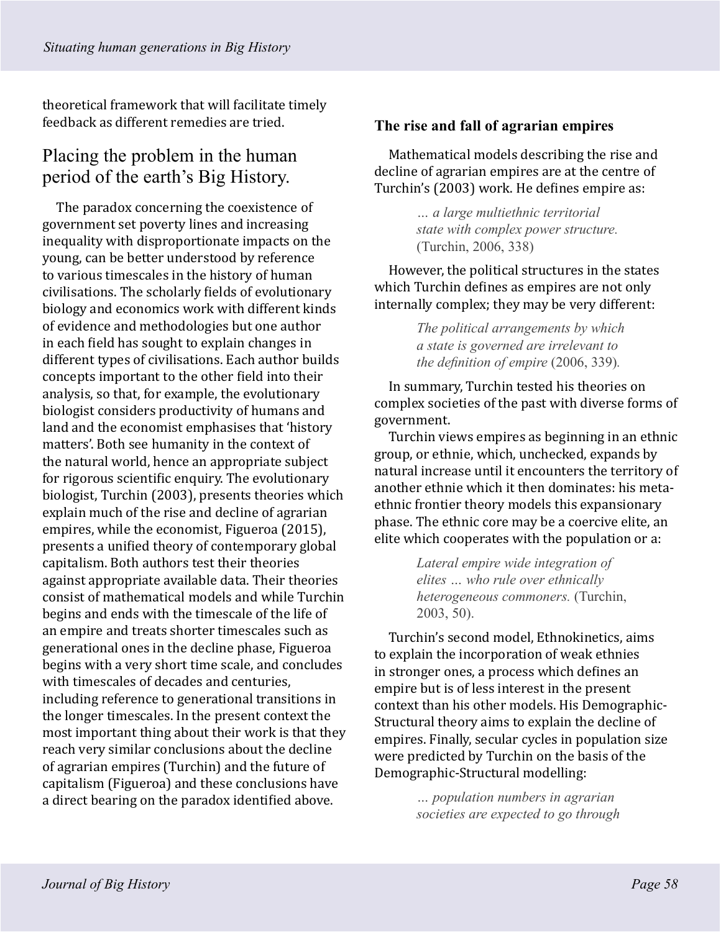theoretical framework that will facilitate timely feedback as different remedies are tried.

# Placing the problem in the human period of the earth's Big History.

The paradox concerning the coexistence of government set poverty lines and increasing inequality with disproportionate impacts on the young, can be better understood by reference to various timescales in the history of human civilisations. The scholarly fields of evolutionary biology and economics work with different kinds of evidence and methodologies but one author in each field has sought to explain changes in different types of civilisations. Each author builds concepts important to the other field into their analysis, so that, for example, the evolutionary biologist considers productivity of humans and land and the economist emphasises that 'history matters'. Both see humanity in the context of the natural world, hence an appropriate subject for rigorous scientific enquiry. The evolutionary biologist, Turchin (2003), presents theories which explain much of the rise and decline of agrarian empires, while the economist, Figueroa (2015), presents a unified theory of contemporary global capitalism. Both authors test their theories against appropriate available data. Their theories consist of mathematical models and while Turchin begins and ends with the timescale of the life of an empire and treats shorter timescales such as generational ones in the decline phase, Figueroa begins with a very short time scale, and concludes with timescales of decades and centuries, including reference to generational transitions in the longer timescales. In the present context the most important thing about their work is that they reach very similar conclusions about the decline of agrarian empires (Turchin) and the future of capitalism (Figueroa) and these conclusions have a direct bearing on the paradox identified above.

### **The rise and fall of agrarian empires**

Mathematical models describing the rise and decline of agrarian empires are at the centre of Turchin's (2003) work. He defines empire as:

> *… a large multiethnic territorial state with complex power structure.*  (Turchin, 2006, 338)

However, the political structures in the states which Turchin defines as empires are not only internally complex; they may be very different:

> *The political arrangements by which a state is governed are irrelevant to the definition of empire* (2006, 339)*.*

In summary, Turchin tested his theories on complex societies of the past with diverse forms of government.

Turchin views empires as beginning in an ethnic group, or ethnie, which, unchecked, expands by natural increase until it encounters the territory of another ethnie which it then dominates: his metaethnic frontier theory models this expansionary phase. The ethnic core may be a coercive elite, an elite which cooperates with the population or a:

> *Lateral empire wide integration of elites … who rule over ethnically heterogeneous commoners.* (Turchin, 2003, 50).

Turchin's second model, Ethnokinetics, aims to explain the incorporation of weak ethnies in stronger ones, a process which defines an empire but is of less interest in the present context than his other models. His Demographic-Structural theory aims to explain the decline of empires. Finally, secular cycles in population size were predicted by Turchin on the basis of the Demographic-Structural modelling:

> *… population numbers in agrarian societies are expected to go through*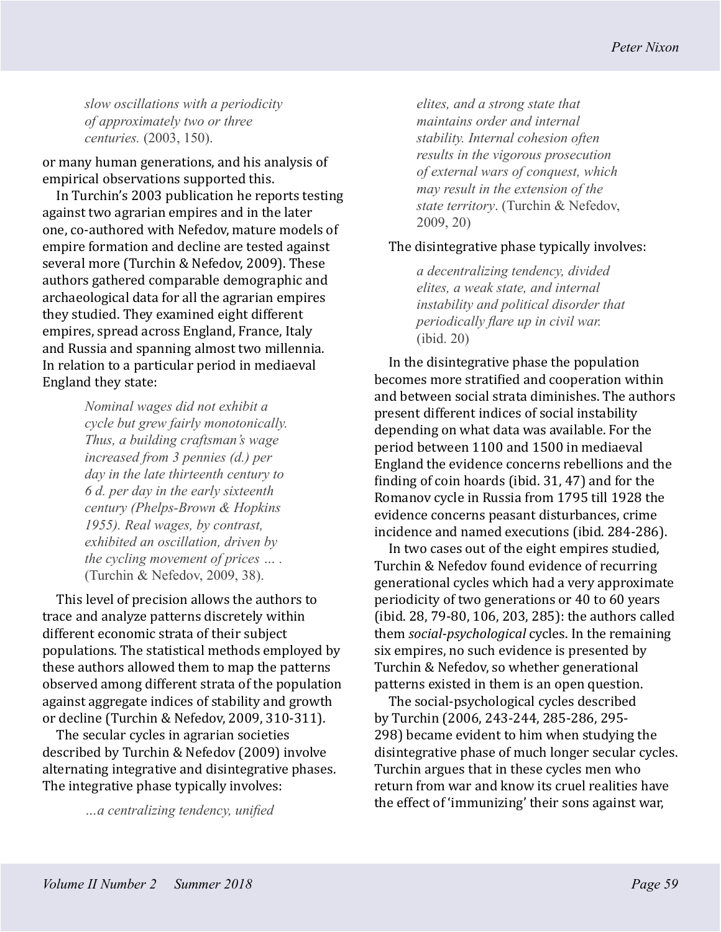*slow oscillations with a periodicity of approximately two or three centuries.* (2003, 150).

or many human generations, and his analysis of empirical observations supported this.

In Turchin's 2003 publication he reports testing against two agrarian empires and in the later one, co-authored with Nefedov, mature models of empire formation and decline are tested against several more (Turchin & Nefedov, 2009). These authors gathered comparable demographic and archaeological data for all the agrarian empires they studied. They examined eight different empires, spread across England, France, Italy and Russia and spanning almost two millennia. In relation to a particular period in mediaeval England they state:

> *Nominal wages did not exhibit a cycle but grew fairly monotonically. Thus, a building craftsman's wage increased from 3 pennies (d.) per day in the late thirteenth century to 6 d. per day in the early sixteenth century (Phelps-Brown & Hopkins 1955). Real wages, by contrast, exhibited an oscillation, driven by the cycling movement of prices … .*  (Turchin & Nefedov, 2009, 38).

This level of precision allows the authors to trace and analyze patterns discretely within different economic strata of their subject populations. The statistical methods employed by these authors allowed them to map the patterns observed among different strata of the population against aggregate indices of stability and growth or decline (Turchin & Nefedov, 2009, 310-311).

The secular cycles in agrarian societies described by Turchin & Nefedov (2009) involve alternating integrative and disintegrative phases. The integrative phase typically involves:

*…a centralizing tendency, unified* 

*elites, and a strong state that maintains order and internal stability. Internal cohesion often results in the vigorous prosecution of external wars of conquest, which may result in the extension of the state territory*. (Turchin & Nefedov, 2009, 20)

#### The disintegrative phase typically involves:

*a decentralizing tendency, divided elites, a weak state, and internal instability and political disorder that periodically flare up in civil war.*  (ibid. 20)

In the disintegrative phase the population becomes more stratified and cooperation within and between social strata diminishes. The authors present different indices of social instability depending on what data was available. For the period between 1100 and 1500 in mediaeval England the evidence concerns rebellions and the finding of coin hoards (ibid. 31, 47) and for the Romanov cycle in Russia from 1795 till 1928 the evidence concerns peasant disturbances, crime incidence and named executions (ibid. 284-286).

In two cases out of the eight empires studied, Turchin & Nefedov found evidence of recurring generational cycles which had a very approximate periodicity of two generations or 40 to 60 years (ibid. 28, 79-80, 106, 203, 285): the authors called them *social-psychological* cycles. In the remaining six empires, no such evidence is presented by Turchin & Nefedov, so whether generational patterns existed in them is an open question.

The social-psychological cycles described by Turchin (2006, 243-244, 285-286, 295- 298) became evident to him when studying the disintegrative phase of much longer secular cycles. Turchin argues that in these cycles men who return from war and know its cruel realities have the effect of 'immunizing' their sons against war,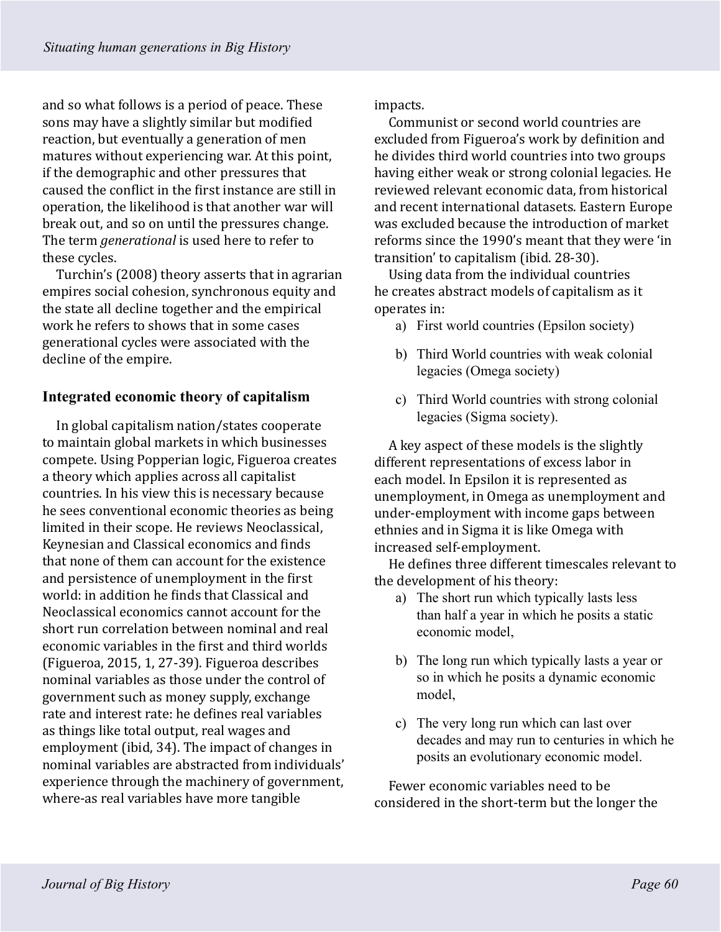and so what follows is a period of peace. These sons may have a slightly similar but modified reaction, but eventually a generation of men matures without experiencing war. At this point, if the demographic and other pressures that caused the conflict in the first instance are still in operation, the likelihood is that another war will break out, and so on until the pressures change. The term *generational* is used here to refer to these cycles.

Turchin's (2008) theory asserts that in agrarian empires social cohesion, synchronous equity and the state all decline together and the empirical work he refers to shows that in some cases generational cycles were associated with the decline of the empire.

## **Integrated economic theory of capitalism**

In global capitalism nation/states cooperate to maintain global markets in which businesses compete. Using Popperian logic, Figueroa creates a theory which applies across all capitalist countries. In his view this is necessary because he sees conventional economic theories as being limited in their scope. He reviews Neoclassical, Keynesian and Classical economics and finds that none of them can account for the existence and persistence of unemployment in the first world: in addition he finds that Classical and Neoclassical economics cannot account for the short run correlation between nominal and real economic variables in the first and third worlds (Figueroa, 2015, 1, 27-39). Figueroa describes nominal variables as those under the control of government such as money supply, exchange rate and interest rate: he defines real variables as things like total output, real wages and employment (ibid, 34). The impact of changes in nominal variables are abstracted from individuals' experience through the machinery of government, where-as real variables have more tangible

impacts.

Communist or second world countries are excluded from Figueroa's work by definition and he divides third world countries into two groups having either weak or strong colonial legacies. He reviewed relevant economic data, from historical and recent international datasets. Eastern Europe was excluded because the introduction of market reforms since the 1990's meant that they were 'in transition' to capitalism (ibid. 28-30).

Using data from the individual countries he creates abstract models of capitalism as it operates in:

- a) First world countries (Epsilon society)
- b) Third World countries with weak colonial legacies (Omega society)
- c) Third World countries with strong colonial legacies (Sigma society).

A key aspect of these models is the slightly different representations of excess labor in each model. In Epsilon it is represented as unemployment, in Omega as unemployment and under-employment with income gaps between ethnies and in Sigma it is like Omega with increased self-employment.

He defines three different timescales relevant to the development of his theory:

- a) The short run which typically lasts less than half a year in which he posits a static economic model,
- b) The long run which typically lasts a year or so in which he posits a dynamic economic model,
- c) The very long run which can last over decades and may run to centuries in which he posits an evolutionary economic model.

Fewer economic variables need to be considered in the short-term but the longer the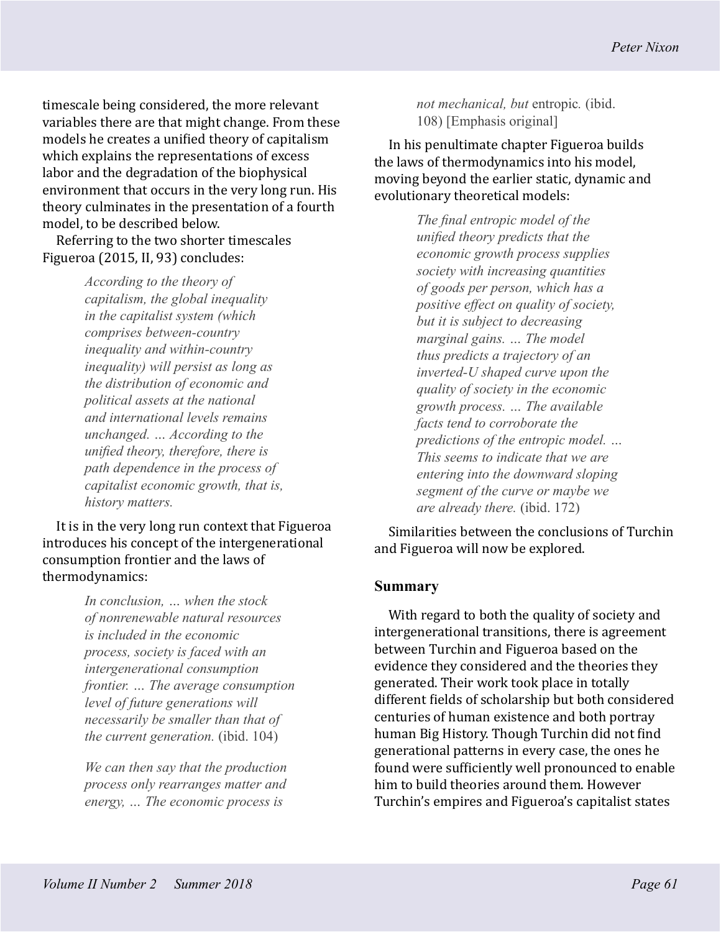timescale being considered, the more relevant variables there are that might change. From these models he creates a unified theory of capitalism which explains the representations of excess labor and the degradation of the biophysical environment that occurs in the very long run. His theory culminates in the presentation of a fourth model, to be described below.

Referring to the two shorter timescales Figueroa (2015, II, 93) concludes:

> *According to the theory of capitalism, the global inequality in the capitalist system (which comprises between-country inequality and within-country inequality) will persist as long as the distribution of economic and political assets at the national and international levels remains unchanged. … According to the unified theory, therefore, there is path dependence in the process of capitalist economic growth, that is, history matters.*

It is in the very long run context that Figueroa introduces his concept of the intergenerational consumption frontier and the laws of thermodynamics:

> *In conclusion, … when the stock of nonrenewable natural resources is included in the economic process, society is faced with an intergenerational consumption frontier. … The average consumption level of future generations will necessarily be smaller than that of the current generation.* (ibid. 104)

*We can then say that the production process only rearranges matter and energy, … The economic process is* 

*not mechanical, but* entropic*.* (ibid. 108) [Emphasis original]

In his penultimate chapter Figueroa builds the laws of thermodynamics into his model, moving beyond the earlier static, dynamic and evolutionary theoretical models:

> *The final entropic model of the unified theory predicts that the economic growth process supplies society with increasing quantities of goods per person, which has a positive effect on quality of society, but it is subject to decreasing marginal gains. … The model thus predicts a trajectory of an inverted-U shaped curve upon the quality of society in the economic growth process. … The available facts tend to corroborate the predictions of the entropic model. … This seems to indicate that we are entering into the downward sloping segment of the curve or maybe we are already there.* (ibid. 172)

Similarities between the conclusions of Turchin and Figueroa will now be explored.

#### **Summary**

With regard to both the quality of society and intergenerational transitions, there is agreement between Turchin and Figueroa based on the evidence they considered and the theories they generated. Their work took place in totally different fields of scholarship but both considered centuries of human existence and both portray human Big History. Though Turchin did not find generational patterns in every case, the ones he found were sufficiently well pronounced to enable him to build theories around them. However Turchin's empires and Figueroa's capitalist states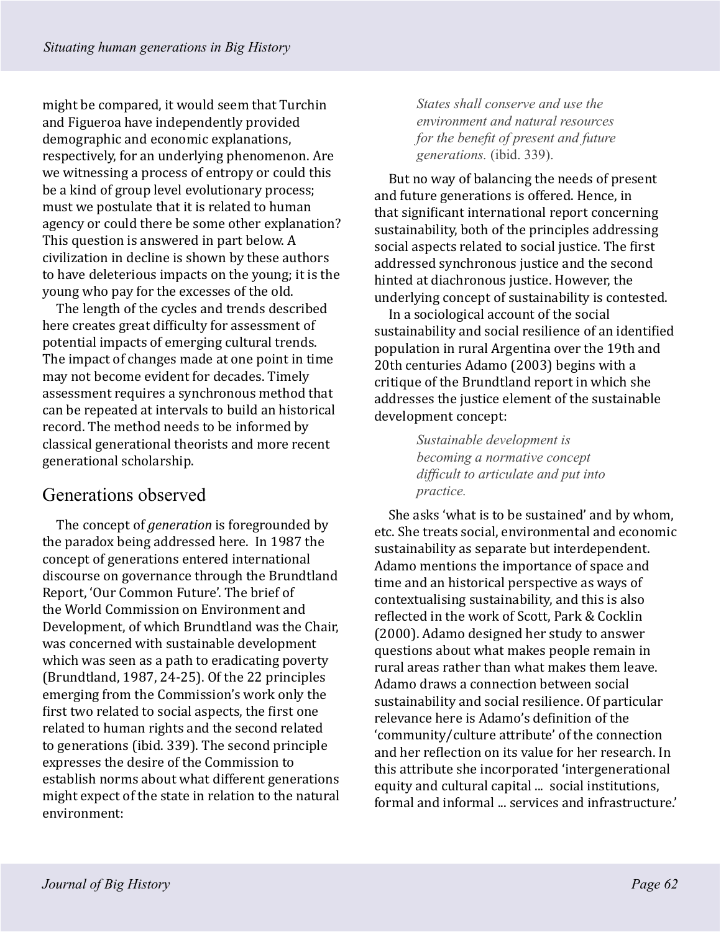might be compared, it would seem that Turchin and Figueroa have independently provided demographic and economic explanations, respectively, for an underlying phenomenon. Are we witnessing a process of entropy or could this be a kind of group level evolutionary process; must we postulate that it is related to human agency or could there be some other explanation? This question is answered in part below. A civilization in decline is shown by these authors to have deleterious impacts on the young; it is the young who pay for the excesses of the old.

The length of the cycles and trends described here creates great difficulty for assessment of potential impacts of emerging cultural trends. The impact of changes made at one point in time may not become evident for decades. Timely assessment requires a synchronous method that can be repeated at intervals to build an historical record. The method needs to be informed by classical generational theorists and more recent generational scholarship.

# Generations observed

The concept of *generation* is foregrounded by the paradox being addressed here. In 1987 the concept of generations entered international discourse on governance through the Brundtland Report, 'Our Common Future'. The brief of the World Commission on Environment and Development, of which Brundtland was the Chair, was concerned with sustainable development which was seen as a path to eradicating poverty (Brundtland, 1987, 24-25). Of the 22 principles emerging from the Commission's work only the first two related to social aspects, the first one related to human rights and the second related to generations (ibid. 339). The second principle expresses the desire of the Commission to establish norms about what different generations might expect of the state in relation to the natural environment:

*States shall conserve and use the environment and natural resources for the benefit of present and future generations.* (ibid. 339).

But no way of balancing the needs of present and future generations is offered. Hence, in that significant international report concerning sustainability, both of the principles addressing social aspects related to social justice. The first addressed synchronous justice and the second hinted at diachronous justice. However, the underlying concept of sustainability is contested.

In a sociological account of the social sustainability and social resilience of an identified population in rural Argentina over the 19th and 20th centuries Adamo (2003) begins with a critique of the Brundtland report in which she addresses the justice element of the sustainable development concept:

> *Sustainable development is becoming a normative concept difficult to articulate and put into practice.*

She asks 'what is to be sustained' and by whom, etc. She treats social, environmental and economic sustainability as separate but interdependent. Adamo mentions the importance of space and time and an historical perspective as ways of contextualising sustainability, and this is also reflected in the work of Scott, Park & Cocklin (2000). Adamo designed her study to answer questions about what makes people remain in rural areas rather than what makes them leave. Adamo draws a connection between social sustainability and social resilience. Of particular relevance here is Adamo's definition of the 'community/culture attribute' of the connection and her reflection on its value for her research. In this attribute she incorporated 'intergenerational equity and cultural capital ... social institutions, formal and informal ... services and infrastructure.'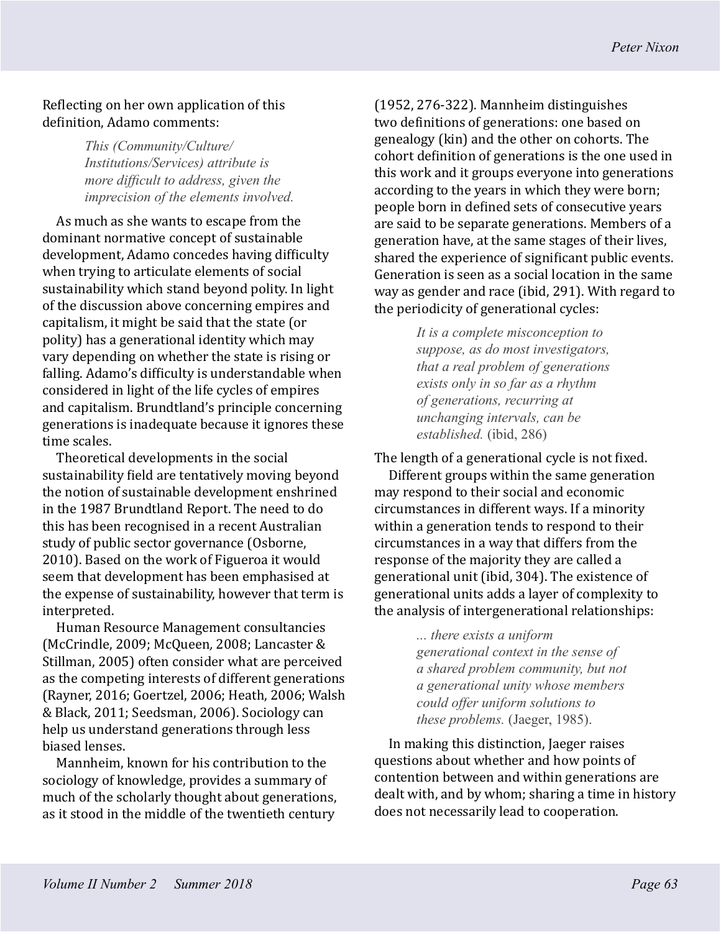### Reflecting on her own application of this definition, Adamo comments:

*This (Community/Culture/ Institutions/Services) attribute is more difficult to address, given the imprecision of the elements involved.*

As much as she wants to escape from the dominant normative concept of sustainable development, Adamo concedes having difficulty when trying to articulate elements of social sustainability which stand beyond polity. In light of the discussion above concerning empires and capitalism, it might be said that the state (or polity) has a generational identity which may vary depending on whether the state is rising or falling. Adamo's difficulty is understandable when considered in light of the life cycles of empires and capitalism. Brundtland's principle concerning generations is inadequate because it ignores these time scales.

Theoretical developments in the social sustainability field are tentatively moving beyond the notion of sustainable development enshrined in the 1987 Brundtland Report. The need to do this has been recognised in a recent Australian study of public sector governance (Osborne, 2010). Based on the work of Figueroa it would seem that development has been emphasised at the expense of sustainability, however that term is interpreted.

Human Resource Management consultancies (McCrindle, 2009; McQueen*,* 2008; Lancaster & Stillman, 2005) often consider what are perceived as the competing interests of different generations (Rayner, 2016; Goertzel, 2006; Heath, 2006; Walsh & Black, 2011; Seedsman, 2006). Sociology can help us understand generations through less biased lenses.

Mannheim, known for his contribution to the sociology of knowledge, provides a summary of much of the scholarly thought about generations, as it stood in the middle of the twentieth century

(1952, 276-322). Mannheim distinguishes two definitions of generations: one based on genealogy (kin) and the other on cohorts. The cohort definition of generations is the one used in this work and it groups everyone into generations according to the years in which they were born; people born in defined sets of consecutive years are said to be separate generations. Members of a generation have, at the same stages of their lives, shared the experience of significant public events. Generation is seen as a social location in the same way as gender and race (ibid, 291). With regard to the periodicity of generational cycles:

> *It is a complete misconception to suppose, as do most investigators, that a real problem of generations exists only in so far as a rhythm of generations, recurring at unchanging intervals, can be established.* (ibid, 286)

The length of a generational cycle is not fixed.

Different groups within the same generation may respond to their social and economic circumstances in different ways. If a minority within a generation tends to respond to their circumstances in a way that differs from the response of the majority they are called a generational unit (ibid, 304). The existence of generational units adds a layer of complexity to the analysis of intergenerational relationships:

> *... there exists a uniform generational context in the sense of a shared problem community, but not a generational unity whose members could offer uniform solutions to these problems.* (Jaeger, 1985).

In making this distinction, Jaeger raises questions about whether and how points of contention between and within generations are dealt with, and by whom; sharing a time in history does not necessarily lead to cooperation.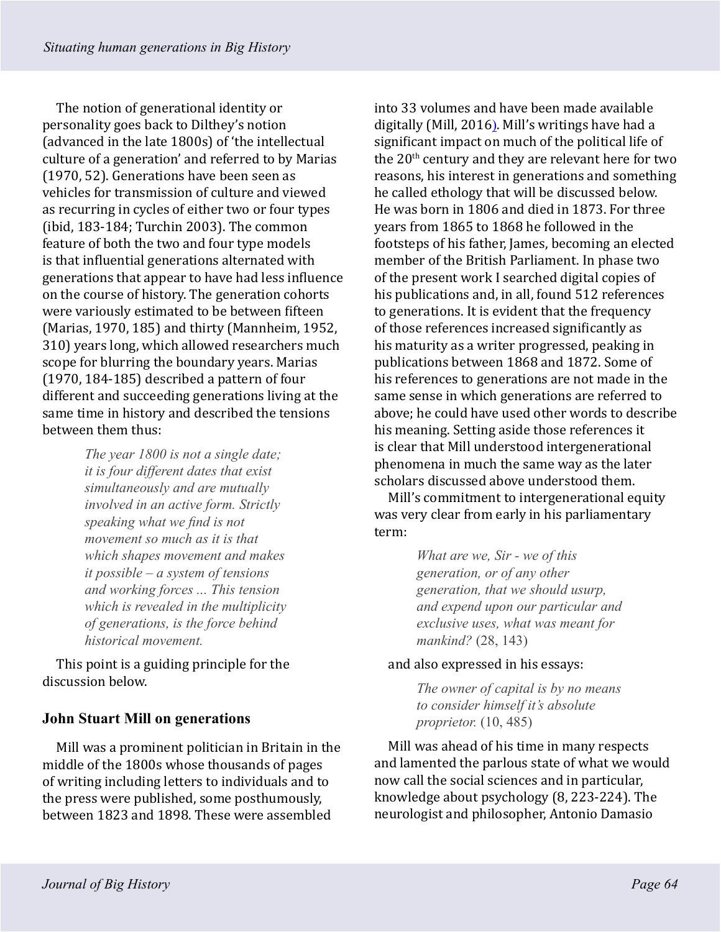The notion of generational identity or personality goes back to Dilthey's notion (advanced in the late 1800s) of 'the intellectual culture of a generation' and referred to by Marias (1970, 52). Generations have been seen as vehicles for transmission of culture and viewed as recurring in cycles of either two or four types (ibid, 183-184; Turchin 2003). The common feature of both the two and four type models is that influential generations alternated with generations that appear to have had less influence on the course of history. The generation cohorts were variously estimated to be between fifteen (Marias, 1970, 185) and thirty (Mannheim, 1952, 310) years long, which allowed researchers much scope for blurring the boundary years. Marias (1970, 184-185) described a pattern of four different and succeeding generations living at the same time in history and described the tensions between them thus:

> *The year 1800 is not a single date; it is four different dates that exist simultaneously and are mutually involved in an active form. Strictly speaking what we find is not movement so much as it is that which shapes movement and makes it possible – a system of tensions and working forces ... This tension which is revealed in the multiplicity of generations, is the force behind historical movement.*

This point is a guiding principle for the discussion below.

## **John Stuart Mill on generations**

Mill was a prominent politician in Britain in the middle of the 1800s whose thousands of pages of writing including letters to individuals and to the press were published, some posthumously, between 1823 and 1898. These were assembled

into 33 volumes and have been made available digitally (Mill, 2016). Mill's writings have had a significant impact on much of the political life of the 20<sup>th</sup> century and they are relevant here for two reasons, his interest in generations and something he called ethology that will be discussed below. He was born in 1806 and died in 1873. For three years from 1865 to 1868 he followed in the footsteps of his father, James, becoming an elected member of the British Parliament. In phase two of the present work I searched digital copies of his publications and, in all, found 512 references to generations. It is evident that the frequency of those references increased significantly as his maturity as a writer progressed, peaking in publications between 1868 and 1872. Some of his references to generations are not made in the same sense in which generations are referred to above; he could have used other words to describe his meaning. Setting aside those references it is clear that Mill understood intergenerational phenomena in much the same way as the later scholars discussed above understood them.

Mill's commitment to intergenerational equity was very clear from early in his parliamentary term:

> *What are we, Sir - we of this generation, or of any other generation, that we should usurp, and expend upon our particular and exclusive uses, what was meant for mankind?* (28, 143)

#### and also expressed in his essays:

*The owner of capital is by no means to consider himself it's absolute proprietor.* (10, 485)

Mill was ahead of his time in many respects and lamented the parlous state of what we would now call the social sciences and in particular, knowledge about psychology (8, 223-224). The neurologist and philosopher, Antonio Damasio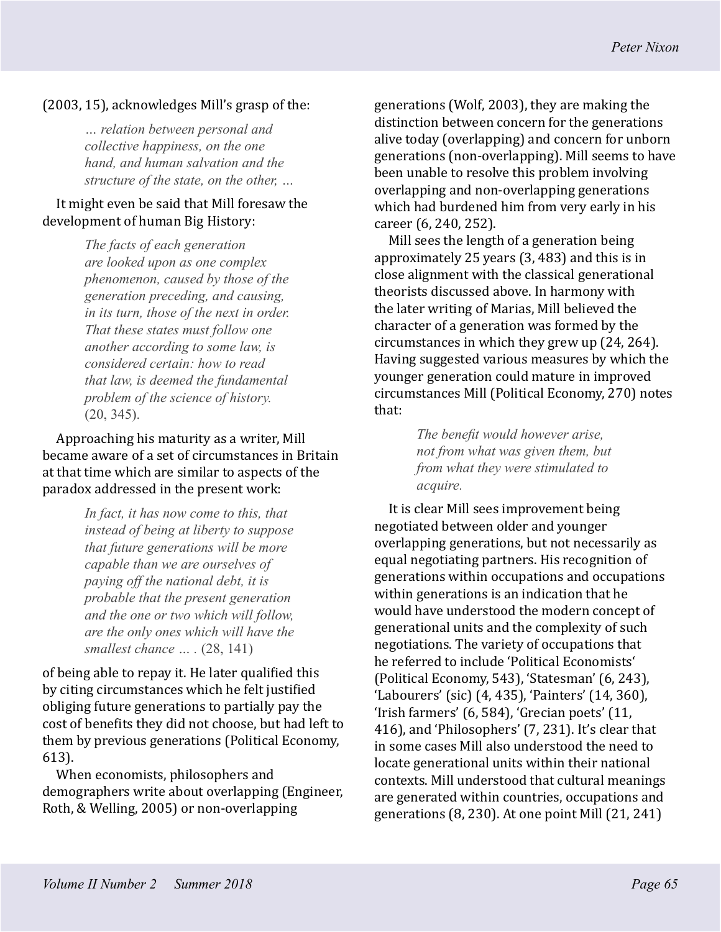#### (2003, 15), acknowledges Mill's grasp of the:

*… relation between personal and collective happiness, on the one hand, and human salvation and the structure of the state, on the other, …*

#### It might even be said that Mill foresaw the development of human Big History:

*The facts of each generation are looked upon as one complex phenomenon, caused by those of the generation preceding, and causing, in its turn, those of the next in order. That these states must follow one another according to some law, is considered certain: how to read that law, is deemed the fundamental problem of the science of history.*  (20, 345).

Approaching his maturity as a writer, Mill became aware of a set of circumstances in Britain at that time which are similar to aspects of the paradox addressed in the present work:

> *In fact, it has now come to this, that instead of being at liberty to suppose that future generations will be more capable than we are ourselves of paying off the national debt, it is probable that the present generation and the one or two which will follow, are the only ones which will have the smallest chance … .* (28, 141)

of being able to repay it. He later qualified this by citing circumstances which he felt justified obliging future generations to partially pay the cost of benefits they did not choose, but had left to them by previous generations (Political Economy, 613).

When economists, philosophers and demographers write about overlapping (Engineer, Roth, & Welling, 2005) or non-overlapping

generations (Wolf, 2003), they are making the distinction between concern for the generations alive today (overlapping) and concern for unborn generations (non-overlapping). Mill seems to have been unable to resolve this problem involving overlapping and non-overlapping generations which had burdened him from very early in his career (6, 240, 252).

Mill sees the length of a generation being approximately 25 years (3, 483) and this is in close alignment with the classical generational theorists discussed above. In harmony with the later writing of Marias, Mill believed the character of a generation was formed by the circumstances in which they grew up (24, 264). Having suggested various measures by which the younger generation could mature in improved circumstances Mill (Political Economy, 270) notes that:

> *The benefit would however arise, not from what was given them, but from what they were stimulated to acquire.*

It is clear Mill sees improvement being negotiated between older and younger overlapping generations, but not necessarily as equal negotiating partners. His recognition of generations within occupations and occupations within generations is an indication that he would have understood the modern concept of generational units and the complexity of such negotiations. The variety of occupations that he referred to include 'Political Economists' (Political Economy, 543), 'Statesman' (6, 243), 'Labourers' (sic) (4, 435), 'Painters' (14, 360), 'Irish farmers' (6, 584), 'Grecian poets' (11, 416), and 'Philosophers' (7, 231). It's clear that in some cases Mill also understood the need to locate generational units within their national contexts. Mill understood that cultural meanings are generated within countries, occupations and generations (8, 230). At one point Mill (21, 241)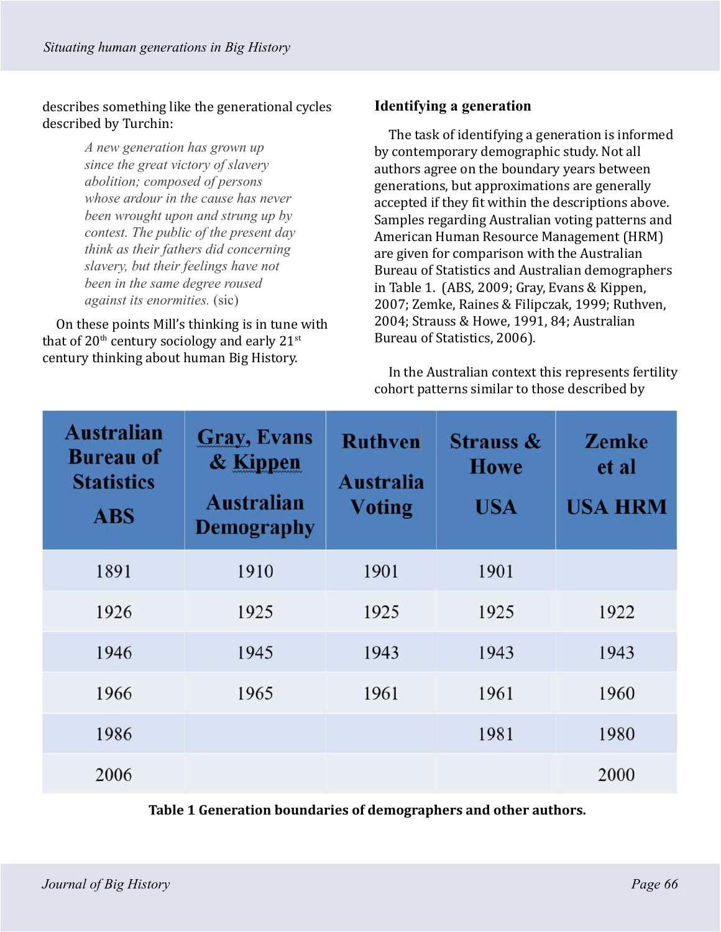describes something like the generational cycles described by Turchin:

> *A new generation has grown up since the great victory of slavery abolition; composed of persons whose ardour in the cause has never been wrought upon and strung up by contest. The public of the present day think as their fathers did concerning slavery, but their feelings have not been in the same degree roused against its enormities.* (sic)

On these points Mill's thinking is in tune with that of  $20<sup>th</sup>$  century sociology and early  $21<sup>st</sup>$ century thinking about human Big History.

#### **Identifying a generation**

The task of identifying a generation is informed by contemporary demographic study. Not all authors agree on the boundary years between generations, but approximations are generally accepted if they fit within the descriptions above. Samples regarding Australian voting patterns and American Human Resource Management (HRM) are given for comparison with the Australian Bureau of Statistics and Australian demographers in Table 1. (ABS, 2009; Gray, Evans & Kippen, 2007; Zemke, Raines & Filipczak, 1999; Ruthven, 2004; Strauss & Howe, 1991, 84; Australian Bureau of Statistics, 2006).

In the Australian context this represents fertility cohort patterns similar to those described by

| <b>Australian</b><br><b>Bureau of</b><br><b>Statistics</b><br><b>ABS</b> | <b>Gray, Evans</b><br>& Kippen<br><b>Australian</b><br><b>Demography</b> | <b>Ruthven</b><br><b>Australia</b><br><b>Voting</b> | <b>Strauss &amp;</b><br><b>Howe</b><br><b>USA</b> | <b>Zemke</b><br>et al<br><b>USA HRM</b> |
|--------------------------------------------------------------------------|--------------------------------------------------------------------------|-----------------------------------------------------|---------------------------------------------------|-----------------------------------------|
| 1891                                                                     | 1910                                                                     | 1901                                                | 1901                                              |                                         |
| 1926                                                                     | 1925                                                                     | 1925                                                | 1925                                              | 1922                                    |
| 1946                                                                     | 1945                                                                     | 1943                                                | 1943                                              | 1943                                    |
| 1966                                                                     | 1965                                                                     | 1961                                                | 1961                                              | 1960                                    |
| 1986                                                                     |                                                                          |                                                     | 1981                                              | 1980                                    |
| 2006                                                                     |                                                                          |                                                     |                                                   | 2000                                    |

**Table 1 Generation boundaries of demographers and other authors.**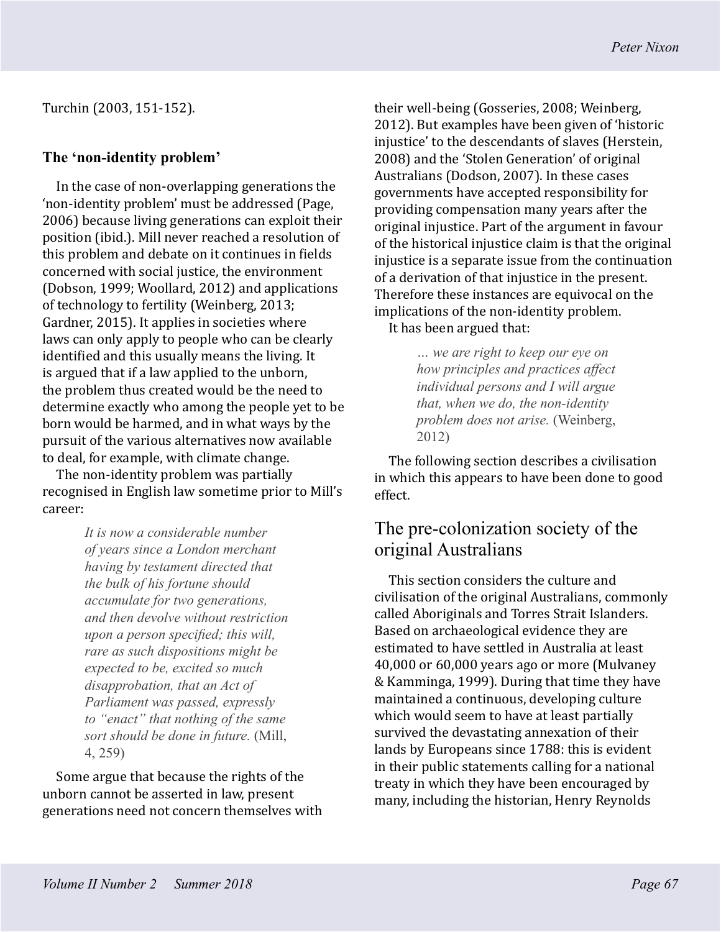Turchin (2003, 151-152).

#### **The 'non-identity problem'**

In the case of non-overlapping generations the 'non-identity problem' must be addressed (Page, 2006) because living generations can exploit their position (ibid.). Mill never reached a resolution of this problem and debate on it continues in fields concerned with social justice, the environment (Dobson, 1999; Woollard, 2012) and applications of technology to fertility (Weinberg, 2013; Gardner, 2015). It applies in societies where laws can only apply to people who can be clearly identified and this usually means the living. It is argued that if a law applied to the unborn, the problem thus created would be the need to determine exactly who among the people yet to be born would be harmed, and in what ways by the pursuit of the various alternatives now available to deal, for example, with climate change.

The non-identity problem was partially recognised in English law sometime prior to Mill's career:

> *It is now a considerable number of years since a London merchant having by testament directed that the bulk of his fortune should accumulate for two generations, and then devolve without restriction upon a person specified; this will, rare as such dispositions might be expected to be, excited so much disapprobation, that an Act of Parliament was passed, expressly to "enact" that nothing of the same sort should be done in future.* (Mill, 4, 259)

Some argue that because the rights of the unborn cannot be asserted in law, present generations need not concern themselves with their well-being (Gosseries, 2008; Weinberg, 2012). But examples have been given of 'historic injustice' to the descendants of slaves (Herstein, 2008) and the 'Stolen Generation' of original Australians (Dodson, 2007). In these cases governments have accepted responsibility for providing compensation many years after the original injustice. Part of the argument in favour of the historical injustice claim is that the original injustice is a separate issue from the continuation of a derivation of that injustice in the present. Therefore these instances are equivocal on the implications of the non-identity problem. It has been argued that:

> *… we are right to keep our eye on how principles and practices affect individual persons and I will argue that, when we do, the non-identity problem does not arise.* (Weinberg, 2012)

The following section describes a civilisation in which this appears to have been done to good effect.

# The pre-colonization society of the original Australians

This section considers the culture and civilisation of the original Australians, commonly called Aboriginals and Torres Strait Islanders. Based on archaeological evidence they are estimated to have settled in Australia at least 40,000 or 60,000 years ago or more (Mulvaney & Kamminga, 1999). During that time they have maintained a continuous, developing culture which would seem to have at least partially survived the devastating annexation of their lands by Europeans since 1788: this is evident in their public statements calling for a national treaty in which they have been encouraged by many, including the historian, Henry Reynolds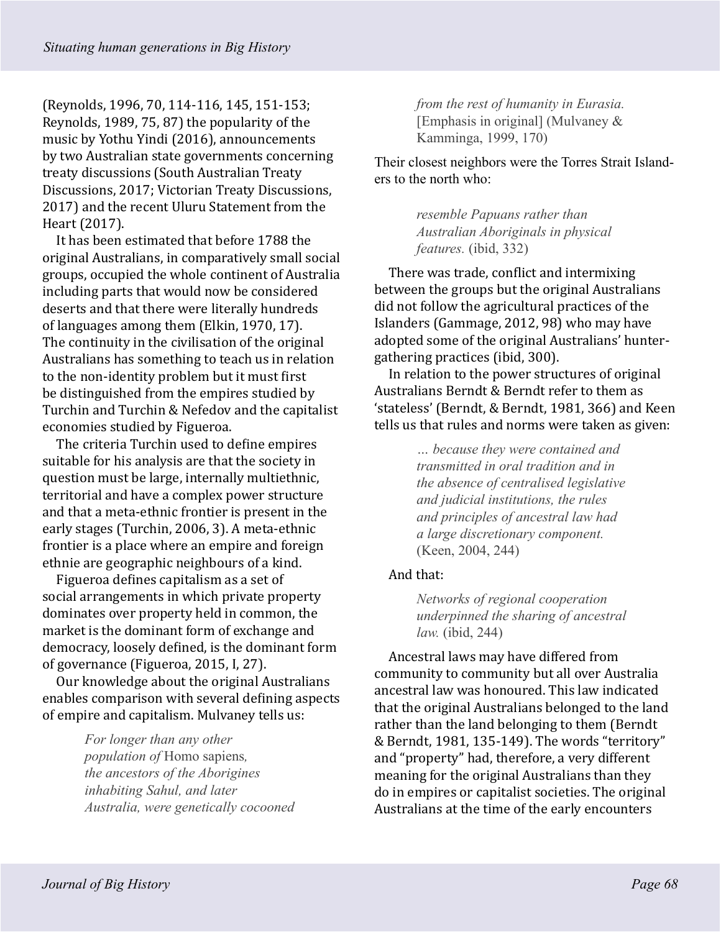(Reynolds, 1996, 70, 114-116, 145, 151-153; Reynolds, 1989, 75, 87) the popularity of the music by Yothu Yindi (2016), announcements by two Australian state governments concerning treaty discussions (South Australian Treaty Discussions, 2017; Victorian Treaty Discussions, 2017) and the recent Uluru Statement from the Heart (2017).

It has been estimated that before 1788 the original Australians, in comparatively small social groups, occupied the whole continent of Australia including parts that would now be considered deserts and that there were literally hundreds of languages among them (Elkin, 1970, 17). The continuity in the civilisation of the original Australians has something to teach us in relation to the non-identity problem but it must first be distinguished from the empires studied by Turchin and Turchin & Nefedov and the capitalist economies studied by Figueroa.

The criteria Turchin used to define empires suitable for his analysis are that the society in question must be large, internally multiethnic, territorial and have a complex power structure and that a meta-ethnic frontier is present in the early stages (Turchin, 2006, 3). A meta-ethnic frontier is a place where an empire and foreign ethnie are geographic neighbours of a kind.

Figueroa defines capitalism as a set of social arrangements in which private property dominates over property held in common, the market is the dominant form of exchange and democracy, loosely defined, is the dominant form of governance (Figueroa, 2015, I, 27).

Our knowledge about the original Australians enables comparison with several defining aspects of empire and capitalism. Mulvaney tells us:

> *For longer than any other population of* Homo sapiens*, the ancestors of the Aborigines inhabiting Sahul, and later Australia, were genetically cocooned*

*from the rest of humanity in Eurasia.*  [Emphasis in original] (Mulvaney & Kamminga, 1999, 170)

Their closest neighbors were the Torres Strait Islanders to the north who:

> *resemble Papuans rather than Australian Aboriginals in physical features.* (ibid, 332)

There was trade, conflict and intermixing between the groups but the original Australians did not follow the agricultural practices of the Islanders (Gammage, 2012, 98) who may have adopted some of the original Australians' huntergathering practices (ibid, 300).

In relation to the power structures of original Australians Berndt & Berndt refer to them as 'stateless' (Berndt, & Berndt, 1981, 366) and Keen tells us that rules and norms were taken as given:

> *… because they were contained and transmitted in oral tradition and in the absence of centralised legislative and judicial institutions, the rules and principles of ancestral law had a large discretionary component.*  (Keen, 2004, 244)

## And that:

*Networks of regional cooperation underpinned the sharing of ancestral law.* (ibid, 244)

Ancestral laws may have differed from community to community but all over Australia ancestral law was honoured. This law indicated that the original Australians belonged to the land rather than the land belonging to them (Berndt & Berndt, 1981, 135-149). The words "territory" and "property" had, therefore, a very different meaning for the original Australians than they do in empires or capitalist societies. The original Australians at the time of the early encounters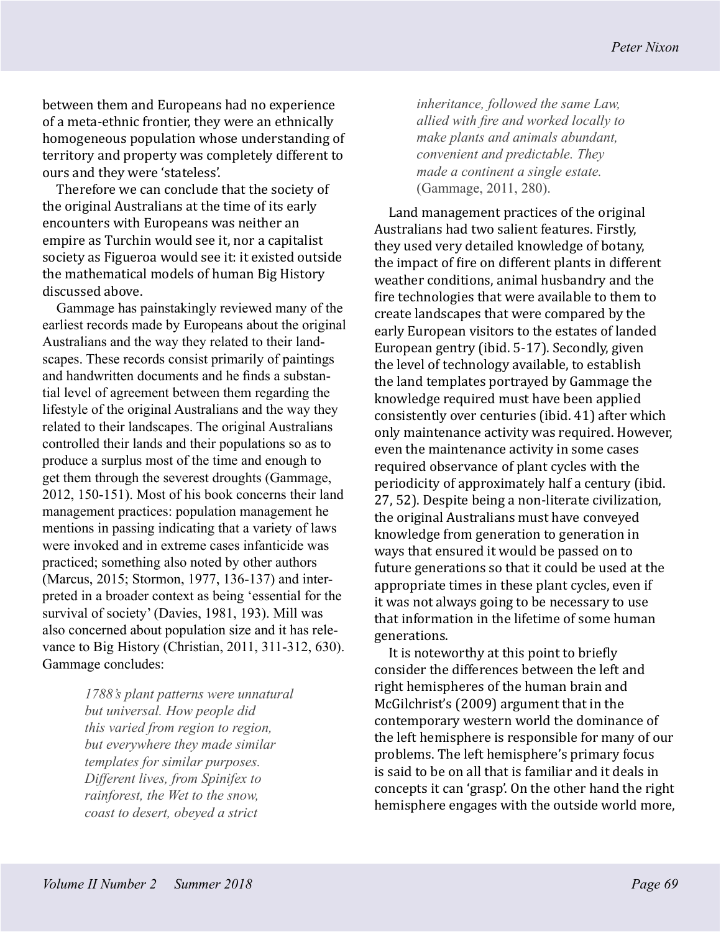between them and Europeans had no experience of a meta-ethnic frontier, they were an ethnically homogeneous population whose understanding of territory and property was completely different to ours and they were 'stateless'.

Therefore we can conclude that the society of the original Australians at the time of its early encounters with Europeans was neither an empire as Turchin would see it, nor a capitalist society as Figueroa would see it: it existed outside the mathematical models of human Big History discussed above.

Gammage has painstakingly reviewed many of the earliest records made by Europeans about the original Australians and the way they related to their landscapes. These records consist primarily of paintings and handwritten documents and he finds a substantial level of agreement between them regarding the lifestyle of the original Australians and the way they related to their landscapes. The original Australians controlled their lands and their populations so as to produce a surplus most of the time and enough to get them through the severest droughts (Gammage, 2012, 150-151). Most of his book concerns their land management practices: population management he mentions in passing indicating that a variety of laws were invoked and in extreme cases infanticide was practiced; something also noted by other authors (Marcus, 2015; Stormon, 1977, 136-137) and interpreted in a broader context as being 'essential for the survival of society' (Davies, 1981, 193). Mill was also concerned about population size and it has relevance to Big History (Christian, 2011, 311-312, 630). Gammage concludes:

> *1788's plant patterns were unnatural but universal. How people did this varied from region to region, but everywhere they made similar templates for similar purposes. Different lives, from Spinifex to rainforest, the Wet to the snow, coast to desert, obeyed a strict*

*inheritance, followed the same Law, allied with fire and worked locally to make plants and animals abundant, convenient and predictable. They made a continent a single estate.*  (Gammage, 2011, 280).

Land management practices of the original Australians had two salient features. Firstly, they used very detailed knowledge of botany, the impact of fire on different plants in different weather conditions, animal husbandry and the fire technologies that were available to them to create landscapes that were compared by the early European visitors to the estates of landed European gentry (ibid. 5-17). Secondly, given the level of technology available, to establish the land templates portrayed by Gammage the knowledge required must have been applied consistently over centuries (ibid. 41) after which only maintenance activity was required. However, even the maintenance activity in some cases required observance of plant cycles with the periodicity of approximately half a century (ibid. 27, 52). Despite being a non-literate civilization, the original Australians must have conveyed knowledge from generation to generation in ways that ensured it would be passed on to future generations so that it could be used at the appropriate times in these plant cycles, even if it was not always going to be necessary to use that information in the lifetime of some human generations.

It is noteworthy at this point to briefly consider the differences between the left and right hemispheres of the human brain and McGilchrist's (2009) argument that in the contemporary western world the dominance of the left hemisphere is responsible for many of our problems. The left hemisphere's primary focus is said to be on all that is familiar and it deals in concepts it can 'grasp'. On the other hand the right hemisphere engages with the outside world more,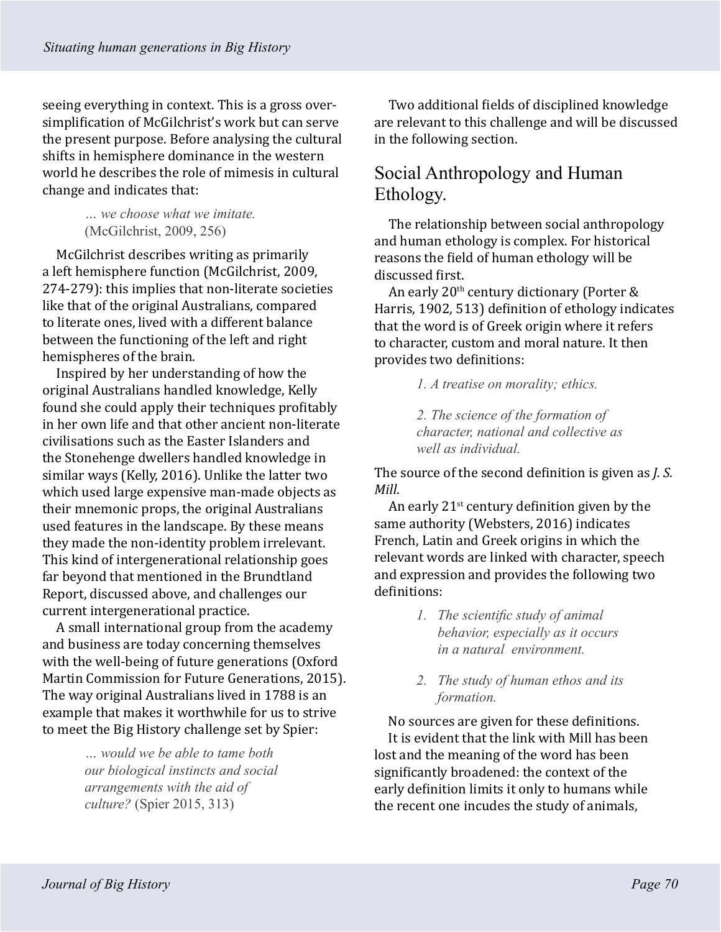seeing everything in context. This is a gross oversimplification of McGilchrist's work but can serve the present purpose. Before analysing the cultural shifts in hemisphere dominance in the western world he describes the role of mimesis in cultural change and indicates that:

> *… we choose what we imitate.*  (McGilchrist, 2009, 256)

McGilchrist describes writing as primarily a left hemisphere function (McGilchrist, 2009, 274-279): this implies that non-literate societies like that of the original Australians, compared to literate ones, lived with a different balance between the functioning of the left and right hemispheres of the brain.

Inspired by her understanding of how the original Australians handled knowledge, Kelly found she could apply their techniques profitably in her own life and that other ancient non-literate civilisations such as the Easter Islanders and the Stonehenge dwellers handled knowledge in similar ways (Kelly, 2016). Unlike the latter two which used large expensive man-made objects as their mnemonic props, the original Australians used features in the landscape. By these means they made the non-identity problem irrelevant. This kind of intergenerational relationship goes far beyond that mentioned in the Brundtland Report, discussed above, and challenges our current intergenerational practice.

A small international group from the academy and business are today concerning themselves with the well-being of future generations (Oxford Martin Commission for Future Generations, 2015). The way original Australians lived in 1788 is an example that makes it worthwhile for us to strive to meet the Big History challenge set by Spier:

> *… would we be able to tame both our biological instincts and social arrangements with the aid of culture?* (Spier 2015, 313)

Two additional fields of disciplined knowledge are relevant to this challenge and will be discussed in the following section.

# Social Anthropology and Human Ethology.

The relationship between social anthropology and human ethology is complex. For historical reasons the field of human ethology will be discussed first.

An early 20th century dictionary (Porter & Harris, 1902, 513) definition of ethology indicates that the word is of Greek origin where it refers to character, custom and moral nature. It then provides two definitions:

*1. A treatise on morality; ethics.*

*2. The science of the formation of character, national and collective as well as individual.*

The source of the second definition is given as *J. S. Mill*.

An early  $21^{st}$  century definition given by the same authority (Websters, 2016) indicates French, Latin and Greek origins in which the relevant words are linked with character, speech and expression and provides the following two definitions:

- *1. The scientific study of animal behavior, especially as it occurs in a natural environment.*
- *2. The study of human ethos and its formation.*

No sources are given for these definitions. It is evident that the link with Mill has been lost and the meaning of the word has been significantly broadened: the context of the early definition limits it only to humans while the recent one incudes the study of animals,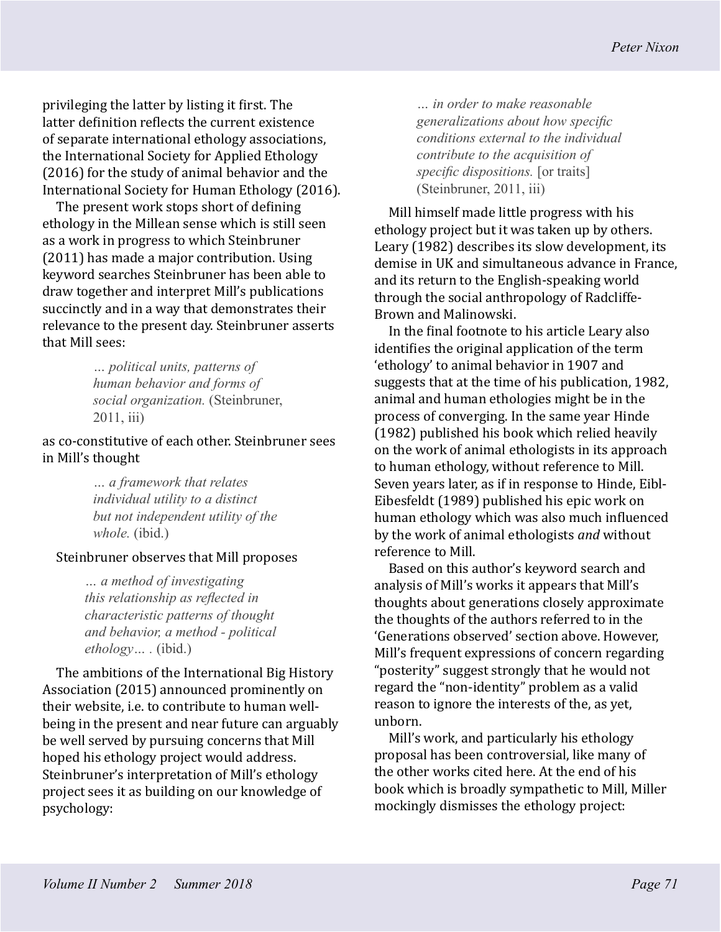privileging the latter by listing it first. The latter definition reflects the current existence of separate international ethology associations, the International Society for Applied Ethology (2016) for the study of animal behavior and the International Society for Human Ethology (2016).

The present work stops short of defining ethology in the Millean sense which is still seen as a work in progress to which Steinbruner (2011) has made a major contribution. Using keyword searches Steinbruner has been able to draw together and interpret Mill's publications succinctly and in a way that demonstrates their relevance to the present day. Steinbruner asserts that Mill sees:

> *… political units, patterns of human behavior and forms of social organization.* (Steinbruner, 2011, iii)

as co-constitutive of each other. Steinbruner sees in Mill's thought

> *… a framework that relates individual utility to a distinct but not independent utility of the whole.* (ibid.)

#### Steinbruner observes that Mill proposes

*… a method of investigating this relationship as reflected in characteristic patterns of thought and behavior, a method - political ethology… .* (ibid.)

The ambitions of the International Big History Association (2015) announced prominently on their website, i.e. to contribute to human wellbeing in the present and near future can arguably be well served by pursuing concerns that Mill hoped his ethology project would address. Steinbruner's interpretation of Mill's ethology project sees it as building on our knowledge of psychology:

*… in order to make reasonable generalizations about how specific conditions external to the individual contribute to the acquisition of specific dispositions.* [or traits] (Steinbruner, 2011, iii)

Mill himself made little progress with his ethology project but it was taken up by others. Leary (1982) describes its slow development, its demise in UK and simultaneous advance in France, and its return to the English-speaking world through the social anthropology of Radcliffe-Brown and Malinowski.

In the final footnote to his article Leary also identifies the original application of the term 'ethology' to animal behavior in 1907 and suggests that at the time of his publication, 1982, animal and human ethologies might be in the process of converging. In the same year Hinde (1982) published his book which relied heavily on the work of animal ethologists in its approach to human ethology, without reference to Mill. Seven years later, as if in response to Hinde, Eibl-Eibesfeldt (1989) published his epic work on human ethology which was also much influenced by the work of animal ethologists *and* without reference to Mill.

Based on this author's keyword search and analysis of Mill's works it appears that Mill's thoughts about generations closely approximate the thoughts of the authors referred to in the 'Generations observed' section above. However, Mill's frequent expressions of concern regarding "posterity" suggest strongly that he would not regard the "non-identity" problem as a valid reason to ignore the interests of the, as yet, unborn.

Mill's work, and particularly his ethology proposal has been controversial, like many of the other works cited here. At the end of his book which is broadly sympathetic to Mill, Miller mockingly dismisses the ethology project: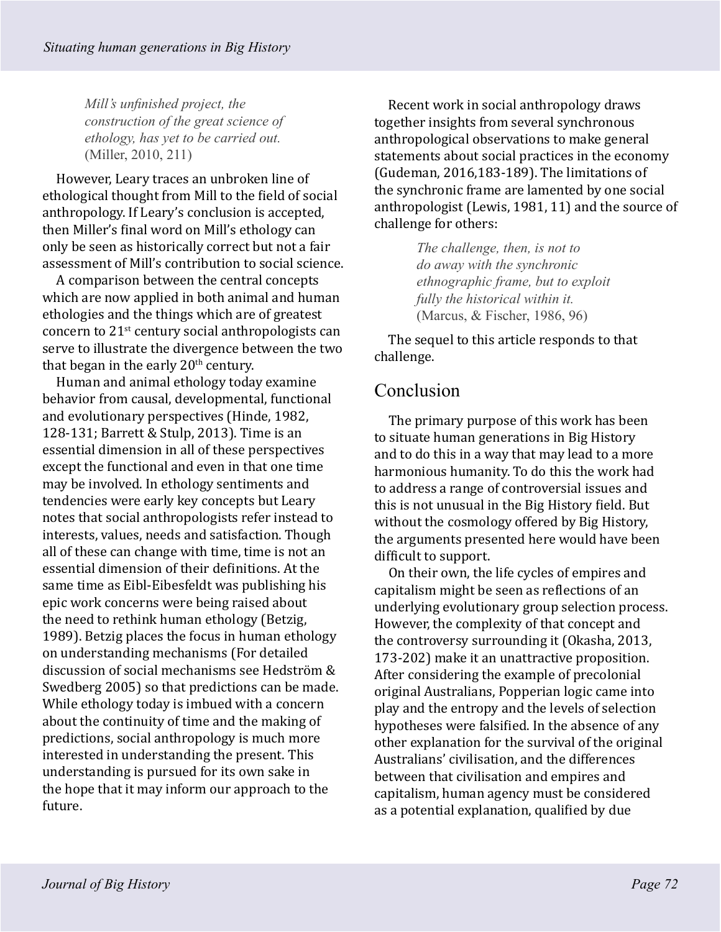*Mill's unfinished project, the construction of the great science of ethology, has yet to be carried out.*  (Miller, 2010, 211)

However, Leary traces an unbroken line of ethological thought from Mill to the field of social anthropology. If Leary's conclusion is accepted, then Miller's final word on Mill's ethology can only be seen as historically correct but not a fair assessment of Mill's contribution to social science.

A comparison between the central concepts which are now applied in both animal and human ethologies and the things which are of greatest concern to 21st century social anthropologists can serve to illustrate the divergence between the two that began in the early  $20<sup>th</sup>$  century.

Human and animal ethology today examine behavior from causal, developmental, functional and evolutionary perspectives (Hinde, 1982, 128-131; Barrett & Stulp, 2013). Time is an essential dimension in all of these perspectives except the functional and even in that one time may be involved. In ethology sentiments and tendencies were early key concepts but Leary notes that social anthropologists refer instead to interests, values, needs and satisfaction. Though all of these can change with time, time is not an essential dimension of their definitions. At the same time as Eibl-Eibesfeldt was publishing his epic work concerns were being raised about the need to rethink human ethology (Betzig, 1989). Betzig places the focus in human ethology on understanding mechanisms (For detailed discussion of social mechanisms see Hedström & Swedberg 2005) so that predictions can be made. While ethology today is imbued with a concern about the continuity of time and the making of predictions, social anthropology is much more interested in understanding the present. This understanding is pursued for its own sake in the hope that it may inform our approach to the future.

Recent work in social anthropology draws together insights from several synchronous anthropological observations to make general statements about social practices in the economy (Gudeman, 2016,183-189). The limitations of the synchronic frame are lamented by one social anthropologist (Lewis, 1981, 11) and the source of challenge for others:

> *The challenge, then, is not to do away with the synchronic ethnographic frame, but to exploit fully the historical within it.*  (Marcus, & Fischer, 1986, 96)

The sequel to this article responds to that challenge.

## Conclusion

The primary purpose of this work has been to situate human generations in Big History and to do this in a way that may lead to a more harmonious humanity. To do this the work had to address a range of controversial issues and this is not unusual in the Big History field. But without the cosmology offered by Big History, the arguments presented here would have been difficult to support.

On their own, the life cycles of empires and capitalism might be seen as reflections of an underlying evolutionary group selection process. However, the complexity of that concept and the controversy surrounding it (Okasha, 2013, 173-202) make it an unattractive proposition. After considering the example of precolonial original Australians, Popperian logic came into play and the entropy and the levels of selection hypotheses were falsified. In the absence of any other explanation for the survival of the original Australians' civilisation, and the differences between that civilisation and empires and capitalism, human agency must be considered as a potential explanation, qualified by due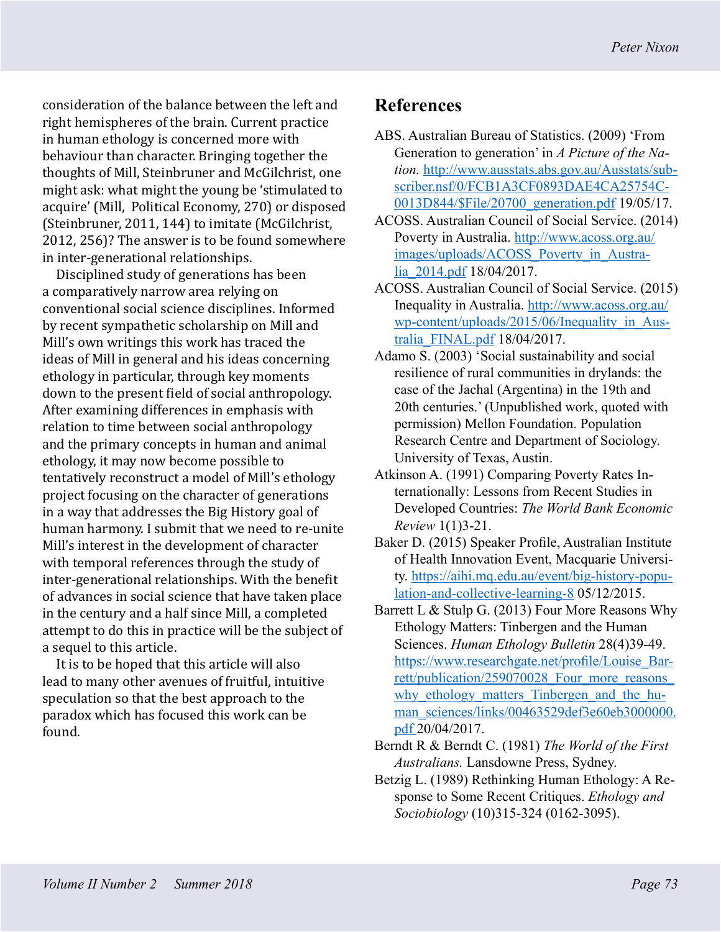consideration of the balance between the left and right hemispheres of the brain. Current practice in human ethology is concerned more with behaviour than character. Bringing together the thoughts of Mill, Steinbruner and McGilchrist, one might ask: what might the young be 'stimulated to acquire' (Mill, Political Economy, 270) or disposed (Steinbruner, 2011, 144) to imitate (McGilchrist, 2012, 256)? The answer is to be found somewhere in inter-generational relationships.

Disciplined study of generations has been a comparatively narrow area relying on conventional social science disciplines. Informed by recent sympathetic scholarship on Mill and Mill's own writings this work has traced the ideas of Mill in general and his ideas concerning ethology in particular, through key moments down to the present field of social anthropology. After examining differences in emphasis with relation to time between social anthropology and the primary concepts in human and animal ethology, it may now become possible to tentatively reconstruct a model of Mill's ethology project focusing on the character of generations in a way that addresses the Big History goal of human harmony. I submit that we need to re-unite Mill's interest in the development of character with temporal references through the study of inter-generational relationships. With the benefit of advances in social science that have taken place in the century and a half since Mill, a completed attempt to do this in practice will be the subject of a sequel to this article.

It is to be hoped that this article will also lead to many other avenues of fruitful, intuitive speculation so that the best approach to the paradox which has focused this work can be found.

# **References**

- ABS. Australian Bureau of Statistics. (2009) 'From Generation to generation' in *A Picture of the Nation.* [http://www.ausstats.abs.gov.au/Ausstats/sub](http://www.ausstats.abs.gov.au/Ausstats/subscriber.nsf/0/FCB1A3CF0893DAE4CA25754C0013D844/$File/20700_generation.pdf)[scriber.nsf/0/FCB1A3CF0893DAE4CA25754C-](http://www.ausstats.abs.gov.au/Ausstats/subscriber.nsf/0/FCB1A3CF0893DAE4CA25754C0013D844/$File/20700_generation.pdf)[0013D844/\\$File/20700\\_generation.pdf](http://www.ausstats.abs.gov.au/Ausstats/subscriber.nsf/0/FCB1A3CF0893DAE4CA25754C0013D844/$File/20700_generation.pdf) 19/05/17.
- ACOSS. Australian Council of Social Service. (2014) Poverty in Australia. [http://www.acoss.org.au/](http://www.acoss.org.au/images/uploads/ACOSS_Poverty_in_Australia_2014.pdf) [images/uploads/ACOSS\\_Poverty\\_in\\_Austra](http://www.acoss.org.au/images/uploads/ACOSS_Poverty_in_Australia_2014.pdf)[lia\\_2014.pdf](http://www.acoss.org.au/images/uploads/ACOSS_Poverty_in_Australia_2014.pdf) 18/04/2017.
- ACOSS. Australian Council of Social Service. (2015) Inequality in Australia. [http://www.acoss.org.au/](http://www.acoss.org.au/wp-content/uploads/2015/06/Inequality_in_Australia_FINAL.pdf) [wp-content/uploads/2015/06/Inequality\\_in\\_Aus](http://www.acoss.org.au/wp-content/uploads/2015/06/Inequality_in_Australia_FINAL.pdf)[tralia\\_FINAL.pdf](http://www.acoss.org.au/wp-content/uploads/2015/06/Inequality_in_Australia_FINAL.pdf) 18/04/2017.
- Adamo S. (2003) 'Social sustainability and social resilience of rural communities in drylands: the case of the Jachal (Argentina) in the 19th and 20th centuries.' (Unpublished work, quoted with permission) Mellon Foundation. Population Research Centre and Department of Sociology. University of Texas, Austin.
- Atkinson A. (1991) Comparing Poverty Rates Internationally: Lessons from Recent Studies in Developed Countries: *The World Bank Economic Review* 1(1)3-21.
- Baker D. (2015) Speaker Profile, Australian Institute of Health Innovation Event, Macquarie University. [https://aihi.mq.edu.au/event/big-history-popu](https://aihi.mq.edu.au/event/big-history-population-and-collective-learning-8)[lation-and-collective-learning-8](https://aihi.mq.edu.au/event/big-history-population-and-collective-learning-8) 05/12/2015.
- Barrett L & Stulp G. (2013) Four More Reasons Why Ethology Matters: Tinbergen and the Human Sciences. *Human Ethology Bulletin* 28(4)39-49. [https://www.researchgate.net/profile/Louise\\_Bar](https://www.researchgate.net/profile/Louise_Barrett/publication/259070028_Four_more_reasons_why_ethology_matters_Tinbergen_and_the_human_sciences/links/00463529def3e60eb3000000.pdf)[rett/publication/259070028\\_Four\\_more\\_reasons\\_](https://www.researchgate.net/profile/Louise_Barrett/publication/259070028_Four_more_reasons_why_ethology_matters_Tinbergen_and_the_human_sciences/links/00463529def3e60eb3000000.pdf) why ethology matters Tinbergen and the hu[man\\_sciences/links/00463529def3e60eb3000000.](https://www.researchgate.net/profile/Louise_Barrett/publication/259070028_Four_more_reasons_why_ethology_matters_Tinbergen_and_the_human_sciences/links/00463529def3e60eb3000000.pdf) [pdf](https://www.researchgate.net/profile/Louise_Barrett/publication/259070028_Four_more_reasons_why_ethology_matters_Tinbergen_and_the_human_sciences/links/00463529def3e60eb3000000.pdf) 20/04/2017.
- Berndt R & Berndt C. (1981) *The World of the First Australians.* Lansdowne Press, Sydney.
- Betzig L. (1989) Rethinking Human Ethology: A Response to Some Recent Critiques. *Ethology and Sociobiology* (10)315-324 (0162-3095).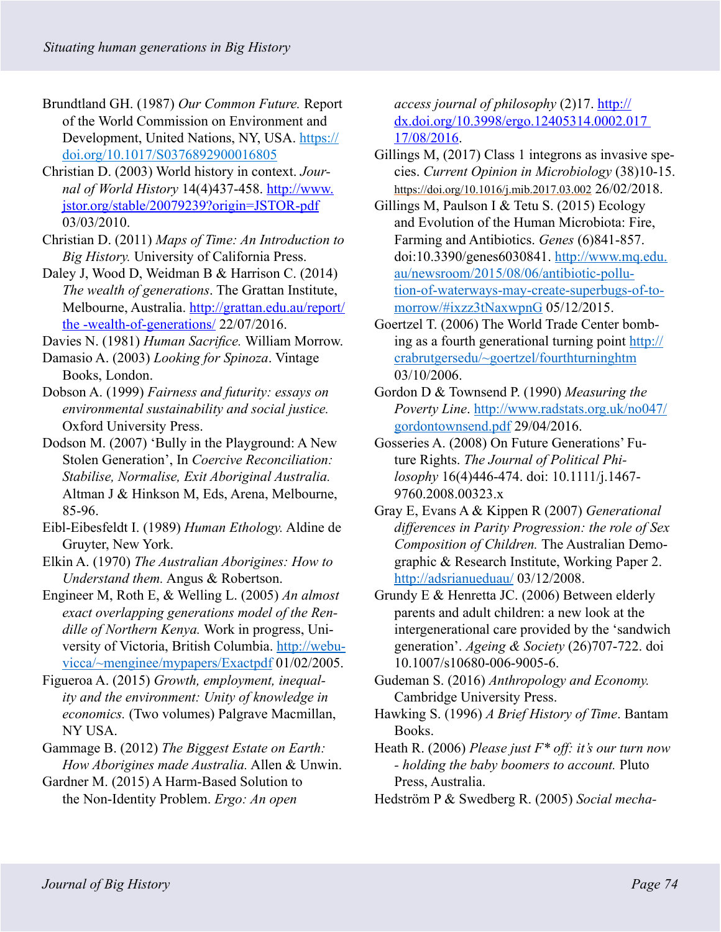- Brundtland GH. (1987) *Our Common Future.* Report of the World Commission on Environment and Development, United Nations, NY, USA. [https://](https://doi.org/10.1017/S0376892900016805) [doi.org/10.1017/S0376892900016805](https://doi.org/10.1017/S0376892900016805)
- Christian D. (2003) World history in context. *Journal of World History* 14(4)437-458. [http://www.](http://www.jstor.org/stable/20079239?origin=JSTOR-pdf) [jstor.org/stable/20079239?origin=JSTOR-pdf](http://www.jstor.org/stable/20079239?origin=JSTOR-pdf)  03/03/2010.
- Christian D. (2011) *Maps of Time: An Introduction to Big History.* University of California Press.
- Daley J, Wood D, Weidman B & Harrison C. (2014) *The wealth of generations*. The Grattan Institute, Melbourne, Australia. [http://grattan.edu.au/report/](http://grattan.edu.au/report/the%20-wealth-of-generations/) [the -wealth-of-generations/](http://grattan.edu.au/report/the%20-wealth-of-generations/) 22/07/2016.

Davies N. (1981) *Human Sacrifice.* William Morrow.

- Damasio A. (2003) *Looking for Spinoza*. Vintage Books, London.
- Dobson A. (1999) *Fairness and futurity: essays on environmental sustainability and social justice.* Oxford University Press.
- Dodson M. (2007) 'Bully in the Playground: A New Stolen Generation', In *Coercive Reconciliation: Stabilise, Normalise, Exit Aboriginal Australia.* Altman J & Hinkson M, Eds, Arena, Melbourne, 85-96.
- Eibl-Eibesfeldt I. (1989) *Human Ethology.* Aldine de Gruyter, New York.
- Elkin A. (1970) *The Australian Aborigines: How to Understand them.* Angus & Robertson.
- Engineer M, Roth E, & Welling L. (2005) *An almost exact overlapping generations model of the Rendille of Northern Kenya.* Work in progress, University of Victoria, British Columbia. [http://webu](http://webuvicca/~menginee/mypapers/Exactpdf)[vicca/~menginee/mypapers/Exactpdf](http://webuvicca/~menginee/mypapers/Exactpdf) 01/02/2005.
- Figueroa A. (2015) *Growth, employment, inequality and the environment: Unity of knowledge in economics.* (Two volumes) Palgrave Macmillan, NY USA.
- Gammage B. (2012) *The Biggest Estate on Earth: How Aborigines made Australia.* Allen & Unwin.
- Gardner M. (2015) A Harm-Based Solution to the Non-Identity Problem. *Ergo: An open*

*access journal of philosophy* (2)17. [http://](http://dx.doi.org/10.3998/ergo.12405314.0002.017%2017/08/2016) [dx.doi.org/10.3998/ergo.12405314.0002.017](http://dx.doi.org/10.3998/ergo.12405314.0002.017%2017/08/2016)  [17/08/2016.](http://dx.doi.org/10.3998/ergo.12405314.0002.017%2017/08/2016)

- Gillings M, (2017) Class 1 integrons as invasive species. *Current Opinion in Microbiology* (38)10-15. <https://doi.org/10.1016/j.mib.2017.03.002>26/02/2018.
- Gillings M, Paulson I & Tetu S. (2015) Ecology and Evolution of the Human Microbiota: Fire, Farming and Antibiotics. *Genes* (6)841-857. doi:10.3390/genes6030841. http://www.mq.edu. au/newsroom/2015/08/06/antibiotic-pollution-of-waterways-may-create-superbugs-of-tomorrow/#ixzz3tNaxwpnG 05/12/2015.
- Goertzel T. (2006) The World Trade Center bombing as a fourth generational turning point [http://](http://crabrutgersedu/~goertzel/fourthturninghtm) [crabrutgersedu/~goertzel/fourthturninghtm](http://crabrutgersedu/~goertzel/fourthturninghtm) 03/10/2006.
- Gordon D & Townsend P. (1990) *Measuring the Poverty Line*. [http://www.radstats.org.uk/no047/](http://www.radstats.org.uk/no047/gordontownsend.pdf) [gordontownsend.pdf](http://www.radstats.org.uk/no047/gordontownsend.pdf) 29/04/2016.
- Gosseries A. (2008) On Future Generations' Future Rights. *The Journal of Political Philosophy* 16(4)446-474. doi: 10.1111/j.1467- 9760.2008.00323.x
- Gray E, Evans A & Kippen R (2007) *Generational differences in Parity Progression: the role of Sex Composition of Children.* The Australian Demographic & Research Institute, Working Paper 2. <http://adsrianueduau/> 03/12/2008.
- Grundy E & Henretta JC. (2006) Between elderly parents and adult children: a new look at the intergenerational care provided by the 'sandwich generation'. *Ageing & Society* (26)707-722. doi 10.1007/s10680-006-9005-6.
- Gudeman S. (2016) *Anthropology and Economy.* Cambridge University Press.
- Hawking S. (1996) *A Brief History of Time*. Bantam Books.
- Heath R. (2006) *Please just F\* off: it's our turn now - holding the baby boomers to account.* Pluto Press, Australia.
- Hedstrӧm P & Swedberg R. (2005) *Social mecha-*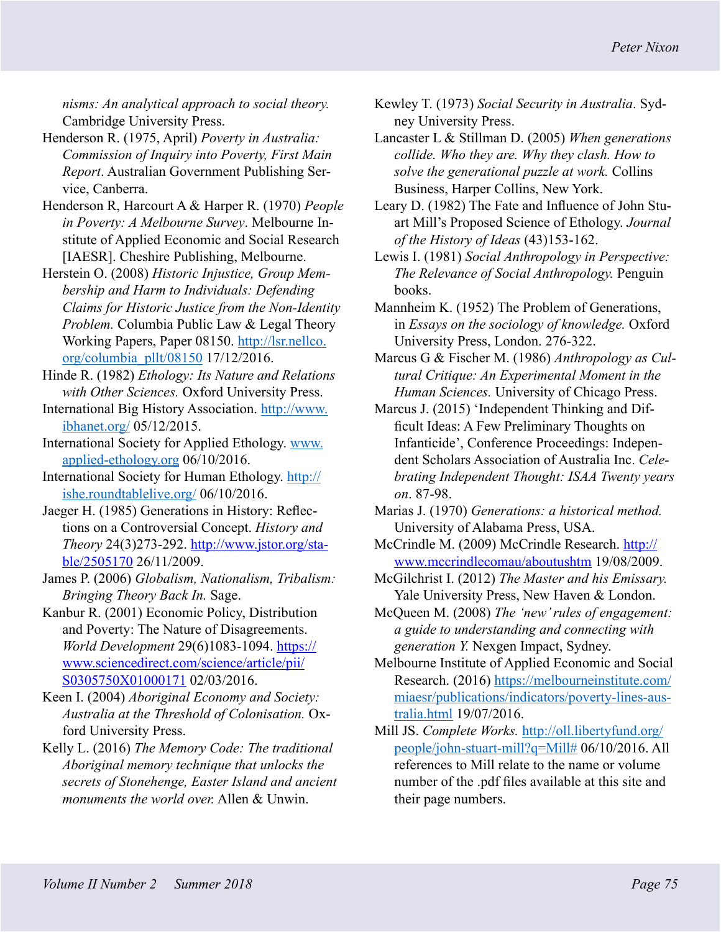*nisms: An analytical approach to social theory.*  Cambridge University Press.

- Henderson R. (1975, April) *Poverty in Australia: Commission of Inquiry into Poverty, First Main Report*. Australian Government Publishing Service, Canberra.
- Henderson R, Harcourt A & Harper R. (1970) *People in Poverty: A Melbourne Survey*. Melbourne Institute of Applied Economic and Social Research [IAESR]. Cheshire Publishing, Melbourne.
- Herstein O. (2008) *Historic Injustice, Group Membership and Harm to Individuals: Defending Claims for Historic Justice from the Non-Identity Problem.* Columbia Public Law & Legal Theory Working Papers, Paper 08150. [http://lsr.nellco.](http://lsr.nellco.org/columbia_pllt/08150) [org/columbia\\_pllt/08150](http://lsr.nellco.org/columbia_pllt/08150) 17/12/2016.
- Hinde R. (1982) *Ethology: Its Nature and Relations with Other Sciences.* Oxford University Press.
- International Big History Association. [http://www.](http://www.ibhanet.org/) [ibhanet.org/](http://www.ibhanet.org/) 05/12/2015.
- International Society for Applied Ethology. [www.](http://www.applied-ethology.org) [applied-ethology.org](http://www.applied-ethology.org) 06/10/2016.
- International Society for Human Ethology. [http://](http://ishe.roundtablelive.org/) [ishe.roundtablelive.org/](http://ishe.roundtablelive.org/) 06/10/2016.
- Jaeger H. (1985) Generations in History: Reflections on a Controversial Concept. *History and Theory* 24(3)273-292. [http://www.jstor.org/sta](http://www.jstor.org/stable/2505170)[ble/2505170](http://www.jstor.org/stable/2505170) 26/11/2009.
- James P. (2006) *Globalism, Nationalism, Tribalism: Bringing Theory Back In.* Sage.
- Kanbur R. (2001) Economic Policy, Distribution and Poverty: The Nature of Disagreements. *World Development* 29(6)1083-1094. [https://](https://www.sciencedirect.com/science/article/pii/S0305750X01000171) [www.sciencedirect.com/science/article/pii/](https://www.sciencedirect.com/science/article/pii/S0305750X01000171) [S0305750X01000171](https://www.sciencedirect.com/science/article/pii/S0305750X01000171) 02/03/2016.
- Keen I. (2004) *Aboriginal Economy and Society: Australia at the Threshold of Colonisation.* Oxford University Press.
- Kelly L. (2016) *The Memory Code: The traditional Aboriginal memory technique that unlocks the secrets of Stonehenge, Easter Island and ancient monuments the world over.* Allen & Unwin.
- Kewley T. (1973) *Social Security in Australia*. Sydney University Press.
- Lancaster L & Stillman D. (2005) *When generations collide. Who they are. Why they clash. How to solve the generational puzzle at work.* Collins Business, Harper Collins, New York.
- Leary D. (1982) The Fate and Influence of John Stuart Mill's Proposed Science of Ethology. *Journal of the History of Ideas* (43)153-162.
- Lewis I. (1981) *Social Anthropology in Perspective: The Relevance of Social Anthropology.* Penguin books.
- Mannheim K. (1952) The Problem of Generations, in *Essays on the sociology of knowledge.* Oxford University Press, London. 276-322.
- Marcus G & Fischer M. (1986) *Anthropology as Cultural Critique: An Experimental Moment in the Human Sciences.* University of Chicago Press.
- Marcus J. (2015) 'Independent Thinking and Difficult Ideas: A Few Preliminary Thoughts on Infanticide', Conference Proceedings: Independent Scholars Association of Australia Inc. *Celebrating Independent Thought: ISAA Twenty years on*. 87-98.
- Marias J. (1970) *Generations: a historical method.* University of Alabama Press, USA.
- McCrindle M. (2009) McCrindle Research. [http://](http://www.mccrindlecomau/aboutushtm) [www.mccrindlecomau/aboutushtm](http://www.mccrindlecomau/aboutushtm) 19/08/2009.
- McGilchrist I. (2012) *The Master and his Emissary.*  Yale University Press, New Haven & London.
- McQueen M. (2008) *The 'new' rules of engagement: a guide to understanding and connecting with generation Y.* Nexgen Impact, Sydney.
- Melbourne Institute of Applied Economic and Social Research. (2016) [https://melbourneinstitute.com/](https://melbourneinstitute.com/miaesr/publications/indicators/poverty-lines-australia.html) [miaesr/publications/indicators/poverty-lines-aus](https://melbourneinstitute.com/miaesr/publications/indicators/poverty-lines-australia.html)[tralia.html](https://melbourneinstitute.com/miaesr/publications/indicators/poverty-lines-australia.html) 19/07/2016.
- Mill JS. *Complete Works.* [http://oll.libertyfund.org/](http://oll.libertyfund.org/people/john-stuart-mill?q=Mill) [people/john-stuart-mill?q=Mill#](http://oll.libertyfund.org/people/john-stuart-mill?q=Mill) 06/10/2016. All references to Mill relate to the name or volume number of the .pdf files available at this site and their page numbers.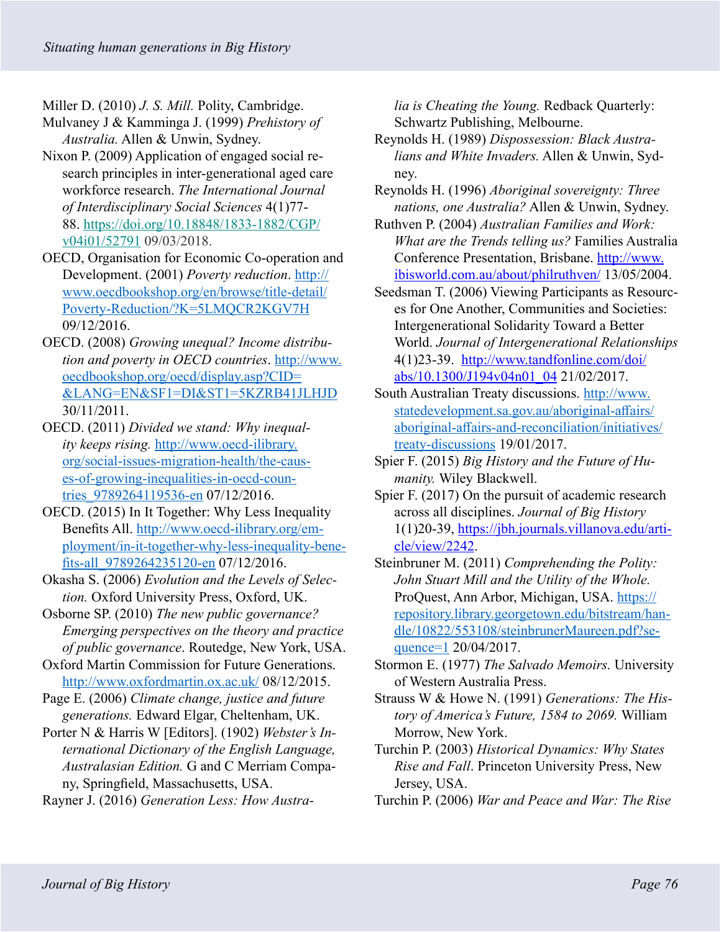Miller D. (2010) *J. S. Mill.* Polity, Cambridge.

- Mulvaney J & Kamminga J. (1999) *Prehistory of Australia.* Allen & Unwin, Sydney.
- Nixon P. (2009) Application of engaged social research principles in inter-generational aged care workforce research. *The International Journal of Interdisciplinary Social Sciences* 4(1)77- 88. [https://doi.org/10.18848/1833-1882/CGP/](https://doi.org/10.18848/1833-1882/CGP/v04i01/52791) [v04i01/52791](https://doi.org/10.18848/1833-1882/CGP/v04i01/52791) 09/03/2018.
- OECD, Organisation for Economic Co-operation and Development. (2001) *Poverty reduction*. [http://](http://www.oecdbookshop.org/en/browse/title-detail/Poverty-Reduction/?K=5LMQCR2KGV7H) [www.oecdbookshop.org/en/browse/title-detail/](http://www.oecdbookshop.org/en/browse/title-detail/Poverty-Reduction/?K=5LMQCR2KGV7H) [Poverty-Reduction/?K=5LMQCR2KGV7H](http://www.oecdbookshop.org/en/browse/title-detail/Poverty-Reduction/?K=5LMQCR2KGV7H) 09/12/2016.
- OECD. (2008) *Growing unequal? Income distribution and poverty in OECD countries*. [http://www.](http://www.oecdbookshop.org/oecd/display.asp?CID=&LANG=EN&SF1=DI&ST1=5KZRB41JLHJD) [oecdbookshop.org/oecd/display.asp?CID=](http://www.oecdbookshop.org/oecd/display.asp?CID=&LANG=EN&SF1=DI&ST1=5KZRB41JLHJD) [&LANG=EN&SF1=DI&ST1=5KZRB41JLHJD](http://www.oecdbookshop.org/oecd/display.asp?CID=&LANG=EN&SF1=DI&ST1=5KZRB41JLHJD) 30/11/2011.
- OECD. (2011) *Divided we stand: Why inequality keeps rising.* [http://www.oecd-ilibrary.](http://www.oecd-ilibrary.org/social-issues-migration-health/the-causes-of-growing-inequalities-in-oecd-countries_9789264119536-en) [org/social-issues-migration-health/the-caus](http://www.oecd-ilibrary.org/social-issues-migration-health/the-causes-of-growing-inequalities-in-oecd-countries_9789264119536-en)[es-of-growing-inequalities-in-oecd-coun](http://www.oecd-ilibrary.org/social-issues-migration-health/the-causes-of-growing-inequalities-in-oecd-countries_9789264119536-en)tries 9789264119536-en 07/12/2016.
- OECD. (2015) In It Together: Why Less Inequality Benefits All. [http://www.oecd-ilibrary.org/em](http://www.oecd-ilibrary.org/employment/in-it-together-why-less-inequality-benefits-all_9789264235120-en)[ployment/in-it-together-why-less-inequality-bene](http://www.oecd-ilibrary.org/employment/in-it-together-why-less-inequality-benefits-all_9789264235120-en)fits-all 9789264235120-en 07/12/2016.
- Okasha S. (2006) *Evolution and the Levels of Selection.* Oxford University Press, Oxford, UK.
- Osborne SP. (2010) *The new public governance? Emerging perspectives on the theory and practice of public governance*. Routedge, New York, USA.
- Oxford Martin Commission for Future Generations. <http://www.oxfordmartin.ox.ac.uk/> 08/12/2015.
- Page E. (2006) *Climate change, justice and future generations.* Edward Elgar, Cheltenham, UK.

Porter N & Harris W [Editors]. (1902) *Webster's International Dictionary of the English Language, Australasian Edition.* G and C Merriam Company, Springfield, Massachusetts, USA.

Rayner J. (2016) *Generation Less: How Austra-*

*lia is Cheating the Young.* Redback Quarterly: Schwartz Publishing, Melbourne.

- Reynolds H. (1989) *Dispossession: Black Australians and White Invaders.* Allen & Unwin, Sydney.
- Reynolds H. (1996) *Aboriginal sovereignty: Three nations, one Australia?* Allen & Unwin, Sydney.
- Ruthven P. (2004) *Australian Families and Work: What are the Trends telling us?* Families Australia Conference Presentation, Brisbane. [http://www.](http://www.ibisworld.com.au/about/philruthven/) [ibisworld.com.au/about/philruthven/](http://www.ibisworld.com.au/about/philruthven/) 13/05/2004.
- Seedsman T. (2006) Viewing Participants as Resources for One Another, Communities and Societies: Intergenerational Solidarity Toward a Better World. *Journal of Intergenerational Relationships* 4(1)23-39. [http://www.tandfonline.com/doi/](http://www.tandfonline.com/doi/abs/10.1300/J194v04n01_04) [abs/10.1300/J194v04n01\\_04](http://www.tandfonline.com/doi/abs/10.1300/J194v04n01_04) 21/02/2017.
- South Australian Treaty discussions. [http://www.](http://www.statedevelopment.sa.gov.au/aboriginal-affairs/aboriginal-affairs-and-reconciliation/initiatives/treaty-discussions) [statedevelopment.sa.gov.au/aboriginal-affairs/](http://www.statedevelopment.sa.gov.au/aboriginal-affairs/aboriginal-affairs-and-reconciliation/initiatives/treaty-discussions) [aboriginal-affairs-and-reconciliation/initiatives/](http://www.statedevelopment.sa.gov.au/aboriginal-affairs/aboriginal-affairs-and-reconciliation/initiatives/treaty-discussions) [treaty-discussions](http://www.statedevelopment.sa.gov.au/aboriginal-affairs/aboriginal-affairs-and-reconciliation/initiatives/treaty-discussions) 19/01/2017.
- Spier F. (2015) *Big History and the Future of Humanity.* Wiley Blackwell.
- Spier F. (2017) On the pursuit of academic research across all disciplines. *Journal of Big History*  1(1)20-39, [https://jbh.journals.villanova.edu/arti](https://jbh.journals.villanova.edu/article/view/2242)[cle/view/2242.](https://jbh.journals.villanova.edu/article/view/2242)
- Steinbruner M. (2011) *Comprehending the Polity: John Stuart Mill and the Utility of the Whole.* ProQuest, Ann Arbor, Michigan, USA. [https://](https://repository.library.georgetown.edu/bitstream/handle/10822/553108/steinbrunerMaureen.pdf?sequence=1) [repository.library.georgetown.edu/bitstream/han](https://repository.library.georgetown.edu/bitstream/handle/10822/553108/steinbrunerMaureen.pdf?sequence=1)[dle/10822/553108/steinbrunerMaureen.pdf?se](https://repository.library.georgetown.edu/bitstream/handle/10822/553108/steinbrunerMaureen.pdf?sequence=1)[quence=1](https://repository.library.georgetown.edu/bitstream/handle/10822/553108/steinbrunerMaureen.pdf?sequence=1) 20/04/2017.
- Stormon E. (1977) *The Salvado Memoirs.* University of Western Australia Press.
- Strauss W & Howe N. (1991) *Generations: The History of America's Future, 1584 to 2069.* William Morrow, New York.
- Turchin P. (2003) *Historical Dynamics: Why States Rise and Fall*. Princeton University Press, New Jersey, USA.
- Turchin P. (2006) *War and Peace and War: The Rise*